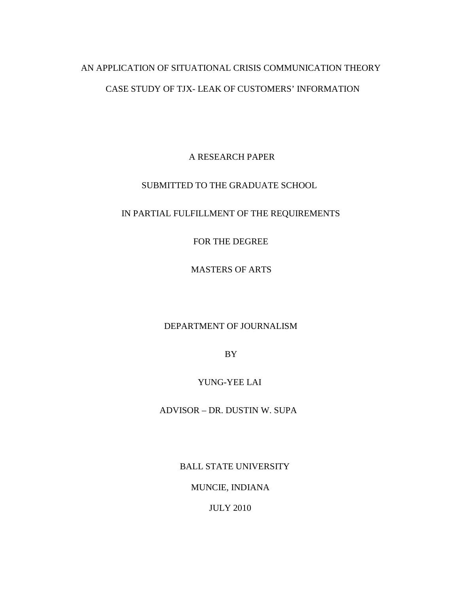# AN APPLICATION OF SITUATIONAL CRISIS COMMUNICATION THEORY CASE STUDY OF TJX- LEAK OF CUSTOMERS' INFORMATION

A RESEARCH PAPER

## SUBMITTED TO THE GRADUATE SCHOOL

## IN PARTIAL FULFILLMENT OF THE REQUIREMENTS

FOR THE DEGREE

MASTERS OF ARTS

### DEPARTMENT OF JOURNALISM

BY

### YUNG-YEE LAI

ADVISOR – DR. DUSTIN W. SUPA

BALL STATE UNIVERSITY

MUNCIE, INDIANA

JULY 2010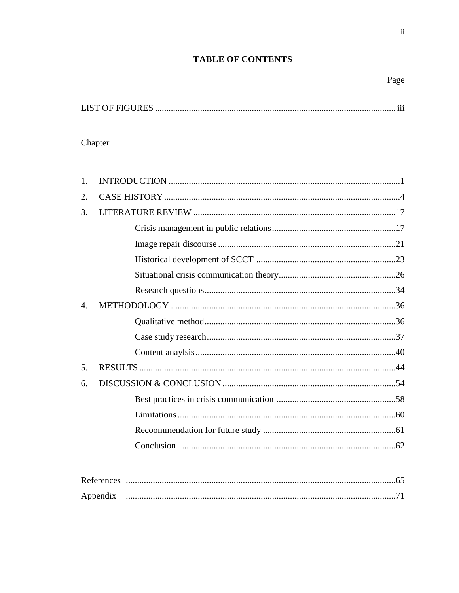# **TABLE OF CONTENTS**

 $\overline{\textbf{H}}$ 

# Chapter

| 1. |  |
|----|--|
| 2. |  |
| 3. |  |
|    |  |
|    |  |
|    |  |
|    |  |
|    |  |
| 4. |  |
|    |  |
|    |  |
|    |  |
| 5. |  |
| 6. |  |
|    |  |
|    |  |
|    |  |
|    |  |
|    |  |

| References |  |
|------------|--|
| Appendix   |  |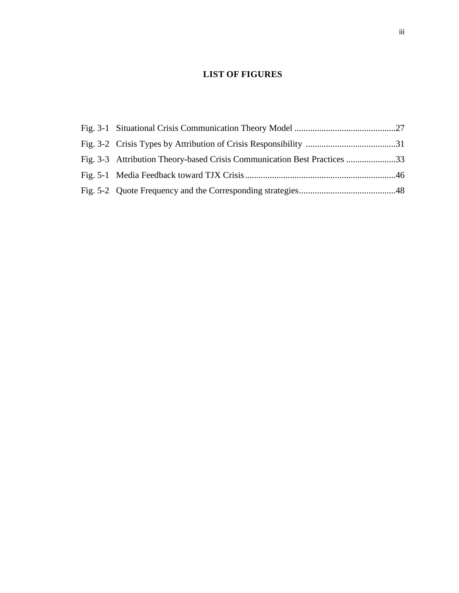# **LIST OF FIGURES**

| Fig. 3-3 Attribution Theory-based Crisis Communication Best Practices 33 |  |
|--------------------------------------------------------------------------|--|
|                                                                          |  |
|                                                                          |  |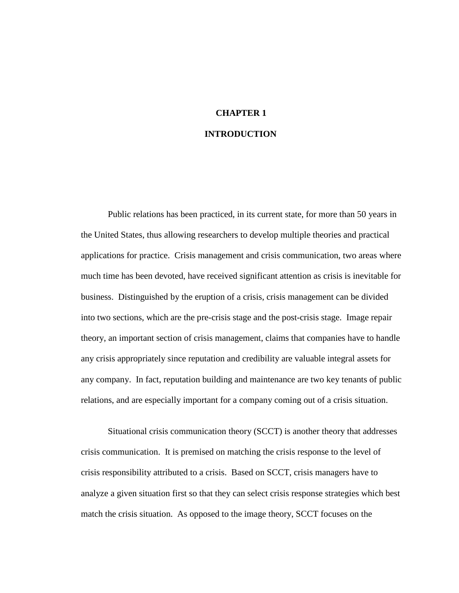# **CHAPTER 1 INTRODUCTION**

Public relations has been practiced, in its current state, for more than 50 years in the United States, thus allowing researchers to develop multiple theories and practical applications for practice. Crisis management and crisis communication, two areas where much time has been devoted, have received significant attention as crisis is inevitable for business. Distinguished by the eruption of a crisis, crisis management can be divided into two sections, which are the pre-crisis stage and the post-crisis stage. Image repair theory, an important section of crisis management, claims that companies have to handle any crisis appropriately since reputation and credibility are valuable integral assets for any company. In fact, reputation building and maintenance are two key tenants of public relations, and are especially important for a company coming out of a crisis situation.

Situational crisis communication theory (SCCT) is another theory that addresses crisis communication. It is premised on matching the crisis response to the level of crisis responsibility attributed to a crisis. Based on SCCT, crisis managers have to analyze a given situation first so that they can select crisis response strategies which best match the crisis situation. As opposed to the image theory, SCCT focuses on the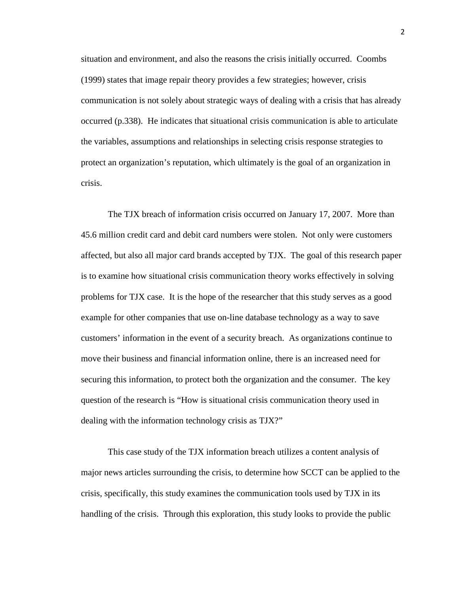situation and environment, and also the reasons the crisis initially occurred. Coombs (1999) states that image repair theory provides a few strategies; however, crisis communication is not solely about strategic ways of dealing with a crisis that has already occurred (p.338). He indicates that situational crisis communication is able to articulate the variables, assumptions and relationships in selecting crisis response strategies to protect an organization's reputation, which ultimately is the goal of an organization in crisis.

The TJX breach of information crisis occurred on January 17, 2007. More than 45.6 million credit card and debit card numbers were stolen. Not only were customers affected, but also all major card brands accepted by TJX. The goal of this research paper is to examine how situational crisis communication theory works effectively in solving problems for TJX case. It is the hope of the researcher that this study serves as a good example for other companies that use on-line database technology as a way to save customers' information in the event of a security breach. As organizations continue to move their business and financial information online, there is an increased need for securing this information, to protect both the organization and the consumer. The key question of the research is "How is situational crisis communication theory used in dealing with the information technology crisis as TJX?"

This case study of the TJX information breach utilizes a content analysis of major news articles surrounding the crisis, to determine how SCCT can be applied to the crisis, specifically, this study examines the communication tools used by TJX in its handling of the crisis. Through this exploration, this study looks to provide the public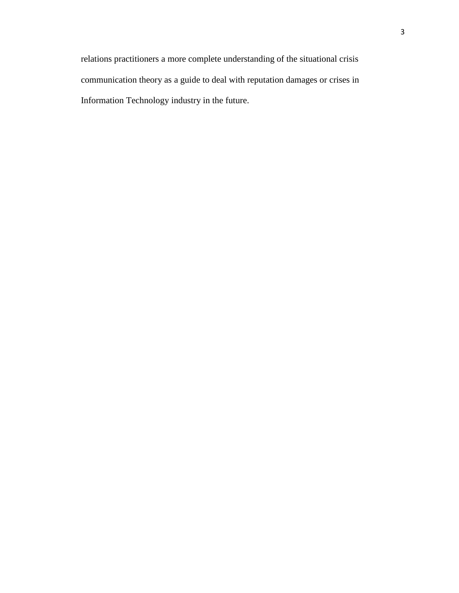relations practitioners a more complete understanding of the situational crisis communication theory as a guide to deal with reputation damages or crises in Information Technology industry in the future.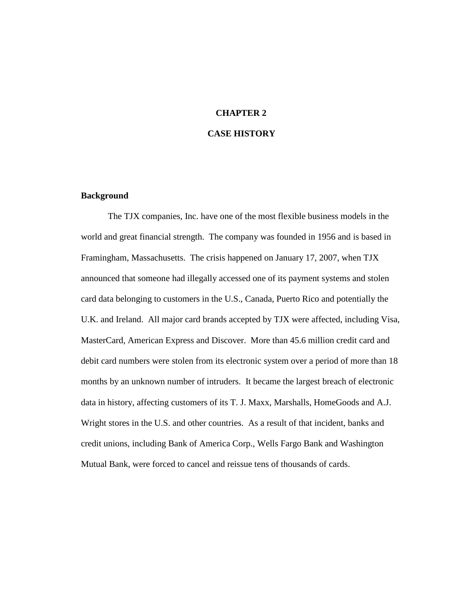# **CHAPTER 2**

### **CASE HISTORY**

#### **Background**

The TJX companies, Inc. have one of the most flexible business models in the world and great financial strength. The company was founded in 1956 and is based in Framingham, Massachusetts. The crisis happened on January 17, 2007, when TJX announced that someone had illegally accessed one of its payment systems and stolen card data belonging to customers in the U.S., Canada, Puerto Rico and potentially the U.K. and Ireland. All major card brands accepted by TJX were affected, including Visa, MasterCard, American Express and Discover. More than 45.6 million credit card and debit card numbers were stolen from its electronic system over a period of more than 18 months by an unknown number of intruders. It became the largest breach of electronic data in history, affecting customers of its T. J. Maxx, Marshalls, HomeGoods and A.J. Wright stores in the U.S. and other countries. As a result of that incident, banks and credit unions, including Bank of America Corp., Wells Fargo Bank and Washington Mutual Bank, were forced to cancel and reissue tens of thousands of cards.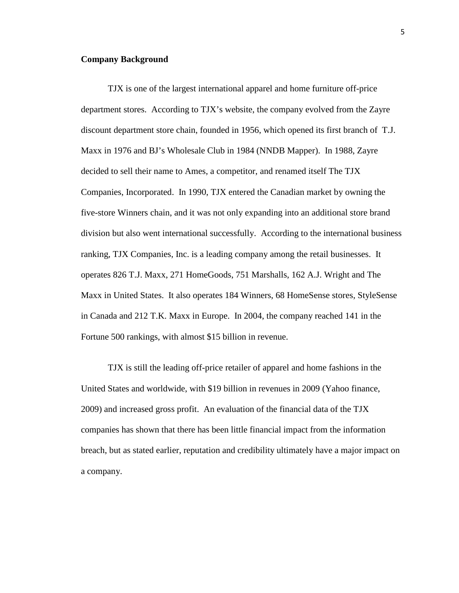#### **Company Background**

TJX is one of the largest international apparel and home furniture off-price department stores. According to TJX's website, the company evolved from the Zayre discount department store chain, founded in 1956, which opened its first branch of T.J. Maxx in 1976 and BJ's Wholesale Club in 1984 (NNDB Mapper). In 1988, Zayre decided to sell their name to Ames, a competitor, and renamed itself The TJX Companies, Incorporated. In 1990, TJX entered the Canadian market by owning the five-store Winners chain, and it was not only expanding into an additional store brand division but also went international successfully. According to the international business ranking, TJX Companies, Inc. is a leading company among the retail businesses. It operates 826 T.J. Maxx, 271 HomeGoods, 751 Marshalls, 162 A.J. Wright and The Maxx in United States. It also operates 184 Winners, 68 HomeSense stores, StyleSense in Canada and 212 T.K. Maxx in Europe. In 2004, the company reached 141 in the Fortune 500 rankings, with almost \$15 billion in revenue.

TJX is still the leading off-price retailer of apparel and home fashions in the United States and worldwide, with \$19 billion in revenues in 2009 (Yahoo finance, 2009) and increased gross profit. An evaluation of the financial data of the TJX companies has shown that there has been little financial impact from the information breach, but as stated earlier, reputation and credibility ultimately have a major impact on a company.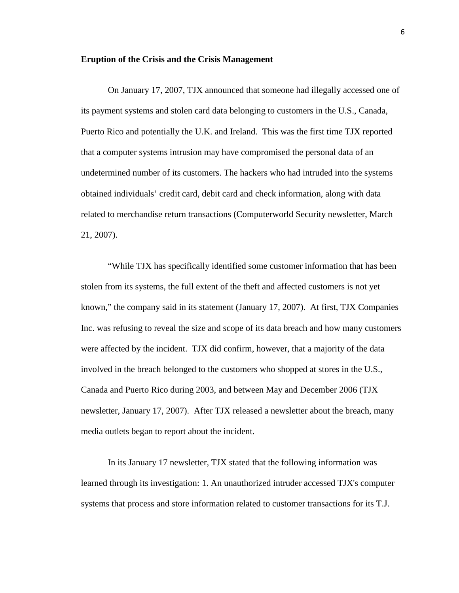#### **Eruption of the Crisis and the Crisis Management**

On January 17, 2007, TJX announced that someone had illegally accessed one of its payment systems and stolen card data belonging to customers in the U.S., Canada, Puerto Rico and potentially the U.K. and Ireland. This was the first time TJX reported that a computer systems intrusion may have compromised the personal data of an undetermined number of its customers. The hackers who had intruded into the systems obtained individuals' credit card, debit card and check information, along with data related to merchandise return transactions (Computerworld Security newsletter, March 21, 2007).

"While TJX has specifically identified some customer information that has been stolen from its systems, the full extent of the theft and affected customers is not yet known," the company said in its statement (January 17, 2007). At first, TJX Companies Inc. was refusing to reveal the size and scope of its data breach and how many customers were affected by the incident. TJX did confirm, however, that a majority of the data involved in the breach belonged to the customers who shopped at stores in the U.S., Canada and Puerto Rico during 2003, and between May and December 2006 (TJX newsletter, January 17, 2007). After TJX released a newsletter about the breach, many media outlets began to report about the incident.

In its January 17 newsletter, TJX stated that the following information was learned through its investigation: 1. An unauthorized intruder accessed TJX's computer systems that process and store information related to customer transactions for its T.J.

6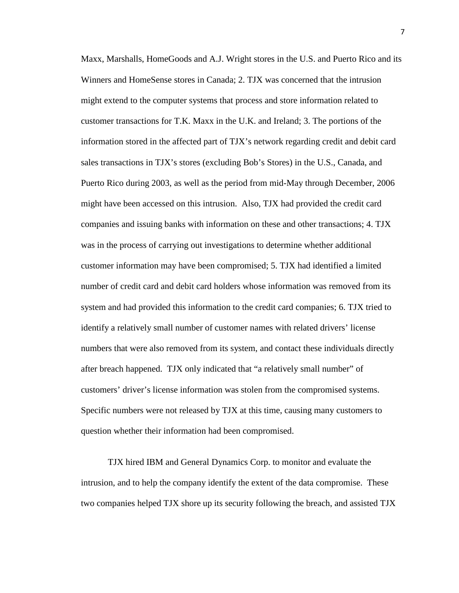Maxx, Marshalls, HomeGoods and A.J. Wright stores in the U.S. and Puerto Rico and its Winners and HomeSense stores in Canada; 2. TJX was concerned that the intrusion might extend to the computer systems that process and store information related to customer transactions for T.K. Maxx in the U.K. and Ireland; 3. The portions of the information stored in the affected part of TJX's network regarding credit and debit card sales transactions in TJX's stores (excluding Bob's Stores) in the U.S., Canada, and Puerto Rico during 2003, as well as the period from mid-May through December, 2006 might have been accessed on this intrusion. Also, TJX had provided the credit card companies and issuing banks with information on these and other transactions; 4. TJX was in the process of carrying out investigations to determine whether additional customer information may have been compromised; 5. TJX had identified a limited number of credit card and debit card holders whose information was removed from its system and had provided this information to the credit card companies; 6. TJX tried to identify a relatively small number of customer names with related drivers' license numbers that were also removed from its system, and contact these individuals directly after breach happened. TJX only indicated that "a relatively small number" of customers' driver's license information was stolen from the compromised systems. Specific numbers were not released by TJX at this time, causing many customers to question whether their information had been compromised.

TJX hired IBM and General Dynamics Corp. to monitor and evaluate the intrusion, and to help the company identify the extent of the data compromise. These two companies helped TJX shore up its security following the breach, and assisted TJX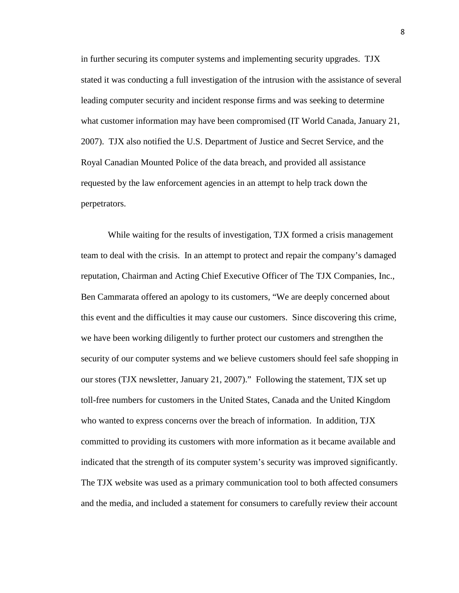in further securing its computer systems and implementing security upgrades. TJX stated it was conducting a full investigation of the intrusion with the assistance of several leading computer security and incident response firms and was seeking to determine what customer information may have been compromised (IT World Canada, January 21, 2007). TJX also notified the U.S. Department of Justice and Secret Service, and the Royal Canadian Mounted Police of the data breach, and provided all assistance requested by the law enforcement agencies in an attempt to help track down the perpetrators.

While waiting for the results of investigation, TJX formed a crisis management team to deal with the crisis. In an attempt to protect and repair the company's damaged reputation, Chairman and Acting Chief Executive Officer of The TJX Companies, Inc., Ben Cammarata offered an apology to its customers, "We are deeply concerned about this event and the difficulties it may cause our customers. Since discovering this crime, we have been working diligently to further protect our customers and strengthen the security of our computer systems and we believe customers should feel safe shopping in our stores (TJX newsletter, January 21, 2007)." Following the statement, TJX set up toll-free numbers for customers in the United States, Canada and the United Kingdom who wanted to express concerns over the breach of information. In addition, TJX committed to providing its customers with more information as it became available and indicated that the strength of its computer system's security was improved significantly. The TJX website was used as a primary communication tool to both affected consumers and the media, and included a statement for consumers to carefully review their account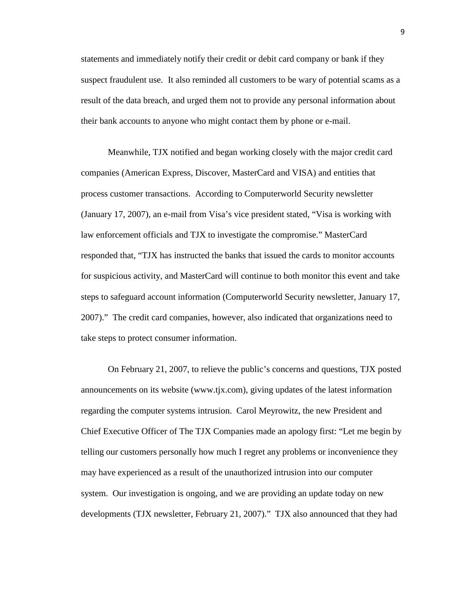statements and immediately notify their credit or debit card company or bank if they suspect fraudulent use. It also reminded all customers to be wary of potential scams as a result of the data breach, and urged them not to provide any personal information about their bank accounts to anyone who might contact them by phone or e-mail.

Meanwhile, TJX notified and began working closely with the major credit card companies (American Express, Discover, MasterCard and VISA) and entities that process customer transactions. According to Computerworld Security newsletter (January 17, 2007), an e-mail from Visa's vice president stated, "Visa is working with law enforcement officials and TJX to investigate the compromise." MasterCard responded that, "TJX has instructed the banks that issued the cards to monitor accounts for suspicious activity, and MasterCard will continue to both monitor this event and take steps to safeguard account information (Computerworld Security newsletter, January 17, 2007)." The credit card companies, however, also indicated that organizations need to take steps to protect consumer information.

On February 21, 2007, to relieve the public's concerns and questions, TJX posted announcements on its website [\(www.tjx.com\)](http://www.tjx.com/), giving updates of the latest information regarding the computer systems intrusion. Carol Meyrowitz, the new President and Chief Executive Officer of The TJX Companies made an apology first: "Let me begin by telling our customers personally how much I regret any problems or inconvenience they may have experienced as a result of the unauthorized intrusion into our computer system. Our investigation is ongoing, and we are providing an update today on new developments (TJX newsletter, February 21, 2007)." TJX also announced that they had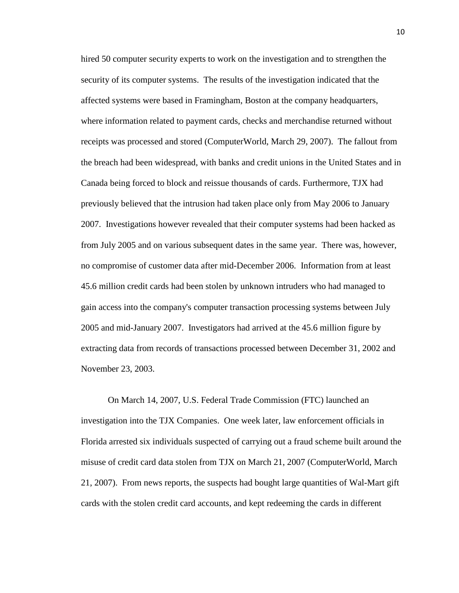hired 50 computer security experts to work on the investigation and to strengthen the security of its computer systems. The results of the investigation indicated that the affected systems were based in Framingham, Boston at the company headquarters, where information related to payment cards, checks and merchandise returned without receipts was processed and stored (ComputerWorld, March 29, 2007). The fallout from the breach had been widespread, with banks and credit unions in the United States and in Canada being forced to block and reissue thousands of cards. Furthermore, TJX had previously believed that the intrusion had taken place only from May 2006 to January 2007. Investigations however revealed that their computer systems had been hacked as from July 2005 and on various subsequent dates in the same year. There was, however, no compromise of customer data after mid-December 2006. Information from at least 45.6 million credit cards had been stolen by unknown intruders who had managed to gain access into the company's computer transaction processing systems between July 2005 and mid-January 2007. Investigators had arrived at the 45.6 million figure by extracting data from records of transactions processed between December 31, 2002 and November 23, 2003.

On March 14, 2007, U.S. Federal Trade Commission (FTC) launched an investigation into the TJX Companies. One week later, law enforcement officials in Florida arrested six individuals suspected of carrying out a fraud scheme built around the misuse of credit card data stolen from TJX on March 21, 2007 (ComputerWorld, March 21, 2007). From news reports, the suspects had bought large quantities of Wal-Mart gift cards with the stolen credit card accounts, and kept redeeming the cards in different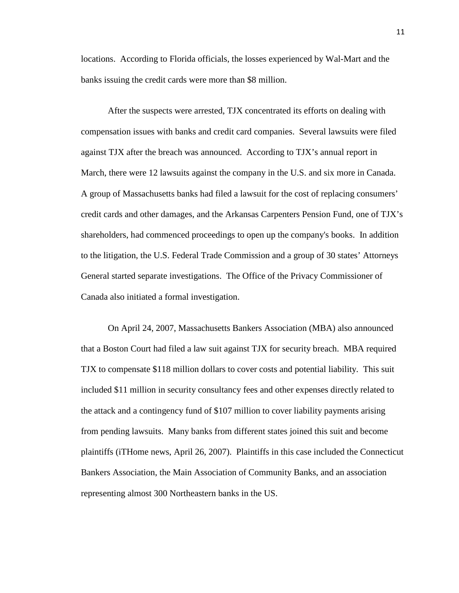locations. According to Florida officials, the losses experienced by Wal-Mart and the banks issuing the credit cards were more than \$8 million.

After the suspects were arrested, TJX concentrated its efforts on dealing with compensation issues with banks and credit card companies. Several lawsuits were filed against TJX after the breach was announced. According to TJX's annual report in March, there were 12 lawsuits against the company in the U.S. and six more in Canada. A group of Massachusetts banks had filed a lawsuit for the cost of replacing consumers' credit cards and other damages, and the Arkansas Carpenters Pension Fund, one of TJX's shareholders, had commenced proceedings to open up the company's books. In addition to the litigation, the U.S. Federal Trade Commission and a group of 30 states' Attorneys General started separate investigations. The Office of the Privacy Commissioner of Canada also initiated a formal investigation.

On April 24, 2007, Massachusetts Bankers Association (MBA) also announced that a Boston Court had filed a law suit against TJX for security breach. MBA required TJX to compensate \$118 million dollars to cover costs and potential liability. This suit included \$11 million in security consultancy fees and other expenses directly related to the attack and a contingency fund of \$107 million to cover liability payments arising from pending lawsuits. Many banks from different states joined this suit and become plaintiffs (iTHome news, April 26, 2007). Plaintiffs in this case included the Connecticut Bankers Association, the Main Association of Community Banks, and an association representing almost 300 Northeastern banks in the US.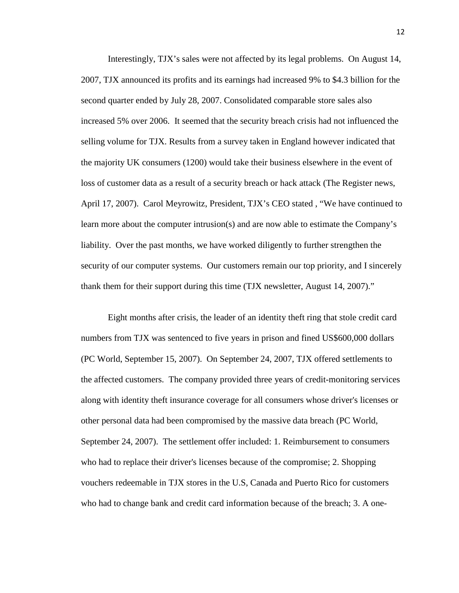Interestingly, TJX's sales were not affected by its legal problems. On August 14, 2007, TJX announced its profits and its earnings had increased 9% to \$4.3 billion for the second quarter ended by July 28, 2007. Consolidated comparable store sales also increased 5% over 2006. It seemed that the security breach crisis had not influenced the selling volume for TJX. Results from a survey taken in England however indicated that the majority UK consumers (1200) would take their business elsewhere in the event of loss of customer data as a result of a security breach or hack attack (The Register news, April 17, 2007). Carol Meyrowitz, President, TJX's CEO stated , "We have continued to learn more about the computer intrusion(s) and are now able to estimate the Company's liability. Over the past months, we have worked diligently to further strengthen the security of our computer systems. Our customers remain our top priority, and I sincerely thank them for their support during this time (TJX newsletter, August 14, 2007)."

Eight months after crisis, the leader of an identity theft ring that [stole credit card](http://www.networkworld.com/news/2007/032907-tjx-data-theft-largest.html)  [numbers from TJX](http://www.networkworld.com/news/2007/032907-tjx-data-theft-largest.html) was sentenced to five years in prison and fined US\$600,000 dollars (PC World, September 15, 2007). On September 24, 2007, TJX offered settlements to the affected customers. The company provided three years of credit-monitoring services along with identity theft insurance coverage for all consumers whose driver's licenses or other personal data had been compromised by the massive data breach (PC World, September 24, 2007). The settlement offer included: 1. Reimbursement to consumers who had to replace their driver's licenses because of the compromise; 2. Shopping vouchers redeemable in TJX stores in the U.S, Canada and Puerto Rico for customers who had to change bank and credit card information because of the breach; 3. A one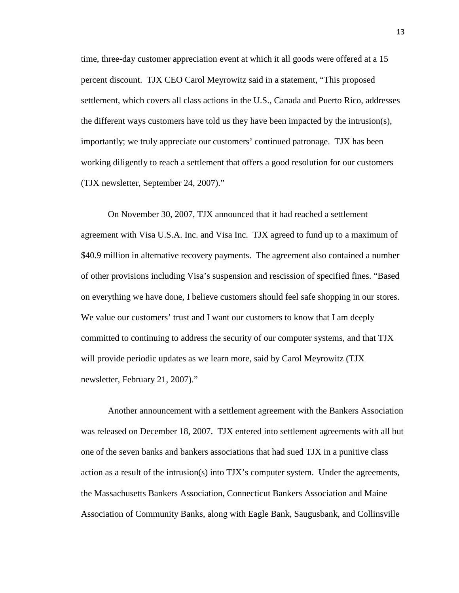time, three-day customer appreciation event at which it all goods were offered at a 15 percent discount. TJX CEO Carol Meyrowitz said in a statement, "This proposed settlement, which covers all class actions in the U.S., Canada and Puerto Rico, addresses the different ways customers have told us they have been impacted by the intrusion(s), importantly; we truly appreciate our customers' continued patronage. TJX has been working diligently to reach a settlement that offers a good resolution for our customers (TJX newsletter, September 24, 2007)."

On November 30, 2007, TJX announced that it had reached a settlement agreement with Visa U.S.A. Inc. and Visa Inc. TJX agreed to fund up to a maximum of \$40.9 million in alternative recovery payments. The agreement also contained a number of other provisions including Visa's suspension and rescission of specified fines. "Based on everything we have done, I believe customers should feel safe shopping in our stores. We value our customers' trust and I want our customers to know that I am deeply committed to continuing to address the security of our computer systems, and that TJX will provide periodic updates as we learn more, said by Carol Meyrowitz (TJX newsletter, February 21, 2007)."

Another announcement with a settlement agreement with the Bankers Association was released on December 18, 2007. TJX entered into settlement agreements with all but one of the seven banks and bankers associations that had sued TJX in a punitive class action as a result of the intrusion(s) into TJX's computer system. Under the agreements, the Massachusetts Bankers Association, Connecticut Bankers Association and Maine Association of Community Banks, along with Eagle Bank, Saugusbank, and Collinsville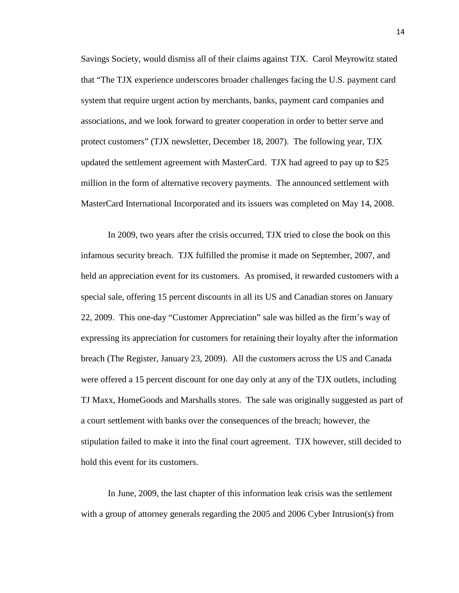Savings Society, would dismiss all of their claims against TJX. Carol Meyrowitz stated that "The TJX experience underscores broader challenges facing the U.S. payment card system that require urgent action by merchants, banks, payment card companies and associations, and we look forward to greater cooperation in order to better serve and protect customers" (TJX newsletter, December 18, 2007). The following year, TJX updated the settlement agreement with MasterCard. TJX had agreed to pay up to \$25 million in the form of alternative recovery payments. The announced settlement with MasterCard International Incorporated and its issuers was completed on May 14, 2008.

In 2009, two years after the crisis occurred, TJX tried to close the book on this infamous security breach. TJX fulfilled the promise it made on September, 2007, and held an appreciation event for its customers. As promised, it rewarded customers with a special sale, offering 15 percent discounts in all its US and Canadian stores on January 22, 2009. This one-day "Customer Appreciation" sale was billed as the firm's way of expressing its appreciation for customers for retaining their loyalty after the information breach (The Register, January 23, 2009). All the customers across the US and Canada were offered a 15 percent discount for one day only at any of the TJX outlets, including TJ Maxx, HomeGoods and Marshalls stores. The sale was originally suggested as part of a court settlement with banks over the consequences of the breach; however, the stipulation failed to make it into the final court agreement. TJX however, still decided to hold this event for its customers.

In June, 2009, the last chapter of this information leak crisis was the settlement with a group of attorney generals regarding the 2005 and 2006 Cyber Intrusion(s) from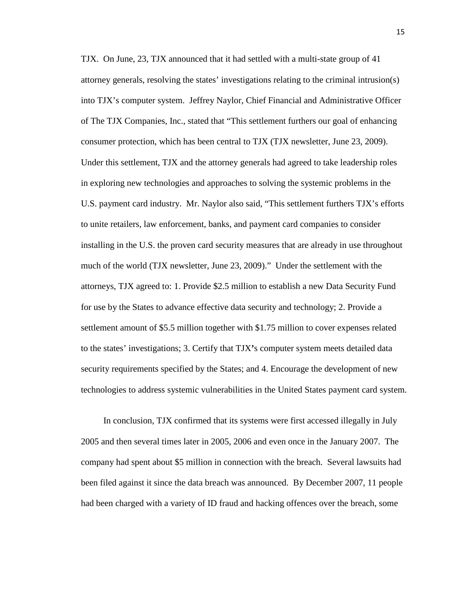TJX. On June, 23, TJX announced that it had settled with a multi-state group of 41 attorney generals, resolving the states' investigations relating to the criminal intrusion(s) into TJX's computer system. Jeffrey Naylor, Chief Financial and Administrative Officer of The TJX Companies, Inc., stated that "This settlement furthers our goal of enhancing consumer protection, which has been central to TJX (TJX newsletter, June 23, 2009). Under this settlement, TJX and the attorney generals had agreed to take leadership roles in exploring new technologies and approaches to solving the systemic problems in the U.S. payment card industry. Mr. Naylor also said, "This settlement furthers TJX's efforts to unite retailers, law enforcement, banks, and payment card companies to consider installing in the U.S. the proven card security measures that are already in use throughout much of the world (TJX newsletter, June 23, 2009)." Under the settlement with the attorneys, TJX agreed to: 1. Provide \$2.5 million to establish a new Data Security Fund for use by the States to advance effective data security and technology; 2. Provide a settlement amount of \$5.5 million together with \$1.75 million to cover expenses related to the states' investigations; 3. Certify that TJX**'**s computer system meets detailed data security requirements specified by the States; and 4. Encourage the development of new technologies to address systemic vulnerabilities in the United States payment card system.

In conclusion, TJX confirmed that its systems were first accessed illegally in July 2005 and then several times later in 2005, 2006 and even once in the January 2007. The company had spent about \$5 million in connection with the breach. Several lawsuits had been filed against it since the data breach was announced. By December 2007, 11 people had been charged with a variety of ID fraud and hacking offences over the breach, some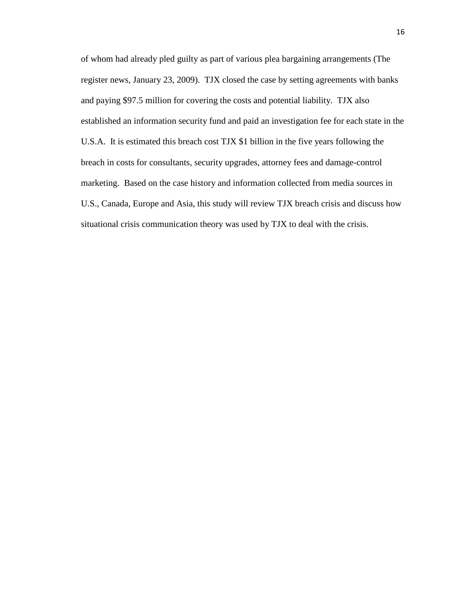of whom had already pled guilty as part of various plea bargaining arrangements (The register news, January 23, 2009). TJX closed the case by setting agreements with banks and paying \$97.5 million for covering the costs and potential liability. TJX also established an information security fund and paid an investigation fee for each state in the U.S.A. It is estimated this breach cost TJX \$1 billion in the five years following the breach in costs for consultants, security upgrades, attorney fees and damage-control marketing. Based on the case history and information collected from media sources in U.S., Canada, Europe and Asia, this study will review TJX breach crisis and discuss how situational crisis communication theory was used by TJX to deal with the crisis.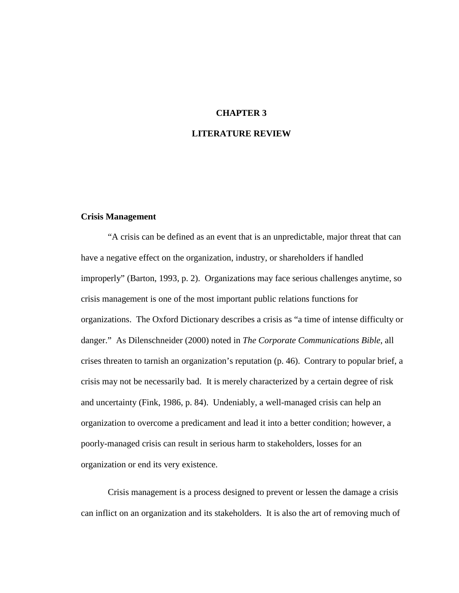#### **CHAPTER 3**

#### **LITERATURE REVIEW**

#### **Crisis Management**

"A crisis can be defined as an event that is an unpredictable, major threat that can have a negative effect on the organization, industry, or shareholders if handled improperly" (Barton, 1993, p. 2). Organizations may face serious challenges anytime, so crisis management is one of the most important public relations functions for organizations. The Oxford Dictionary describes a crisis as "a time of intense difficulty or danger." As Dilenschneider (2000) noted in *The Corporate Communications Bible*, all crises threaten to tarnish an organization's reputation (p. 46). Contrary to popular brief, a crisis may not be necessarily bad. It is merely characterized by a certain degree of risk and uncertainty (Fink, 1986, p. 84). Undeniably, a well-managed crisis can help an organization to overcome a predicament and lead it into a better condition; however, a poorly-managed crisis can result in serious harm to stakeholders, losses for an organization or end its very existence.

Crisis management is a process designed to prevent or lessen the damage a crisis can inflict on an organization and its stakeholders. It is also the art of removing much of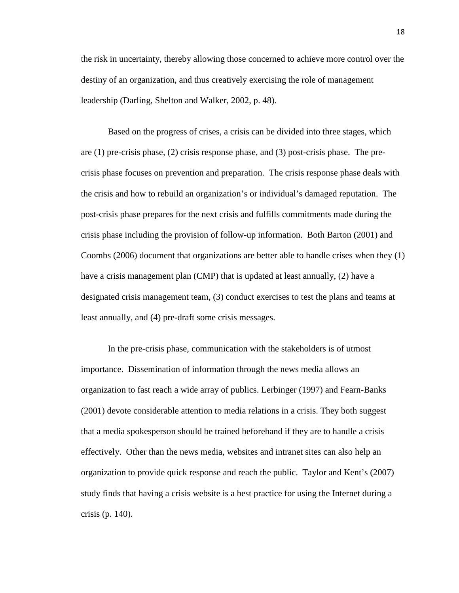the risk in uncertainty, thereby allowing those concerned to achieve more control over the destiny of an organization, and thus creatively exercising the role of management leadership (Darling, Shelton and Walker, 2002, p. 48).

Based on the progress of crises, a crisis can be divided into three stages, which are (1) pre-crisis phase, (2) crisis response phase, and (3) post-crisis phase. The precrisis phase focuses on prevention and preparation. The crisis response phase deals with the crisis and how to rebuild an organization's or individual's damaged reputation. The post-crisis phase prepares for the next crisis and fulfills commitments made during the crisis phase including the provision of follow-up information. Both Barton (2001) and Coombs (2006) document that organizations are better able to handle crises when they (1) have a crisis management plan (CMP) that is updated at least annually, (2) have a designated crisis management team, (3) conduct exercises to test the plans and teams at least annually, and (4) pre-draft some crisis messages.

In the pre-crisis phase, communication with the stakeholders is of utmost importance. Dissemination of information through the news media allows an organization to fast reach a wide array of publics. Lerbinger (1997) and Fearn-Banks (2001) devote considerable attention to media relations in a crisis. They both suggest that a media spokesperson should be trained beforehand if they are to handle a crisis effectively. Other than the news media, websites and intranet sites can also help an organization to provide quick response and reach the public. Taylor and Kent's (2007) study finds that having a crisis website is a best practice for using the Internet during a crisis (p. 140).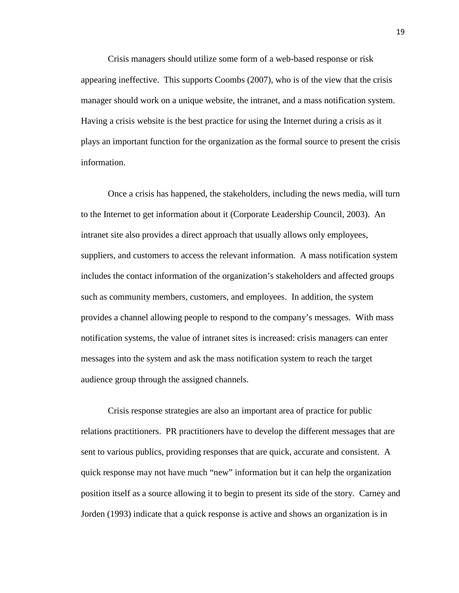Crisis managers should utilize some form of a web-based response or risk appearing ineffective. This supports Coombs (2007), who is of the view that the crisis manager should work on a unique website, the intranet, and a mass notification system. Having a crisis website is the best practice for using the Internet during a crisis as it plays an important function for the organization as the formal source to present the crisis information.

Once a crisis has happened, the stakeholders, including the news media, will turn to the Internet to get information about it (Corporate Leadership Council, 2003). An intranet site also provides a direct approach that usually allows only employees, suppliers, and customers to access the relevant information. A mass notification system includes the contact information of the organization's stakeholders and affected groups such as community members, customers, and employees. In addition, the system provides a channel allowing people to respond to the company's messages. With mass notification systems, the value of intranet sites is increased: crisis managers can enter messages into the system and ask the mass notification system to reach the target audience group through the assigned channels.

Crisis response strategies are also an important area of practice for public relations practitioners. PR practitioners have to develop the different messages that are sent to various publics, providing responses that are quick, accurate and consistent. A quick response may not have much "new" information but it can help the organization position itself as a source allowing it to begin to present its side of the story. Carney and Jorden (1993) indicate that a quick response is active and shows an organization is in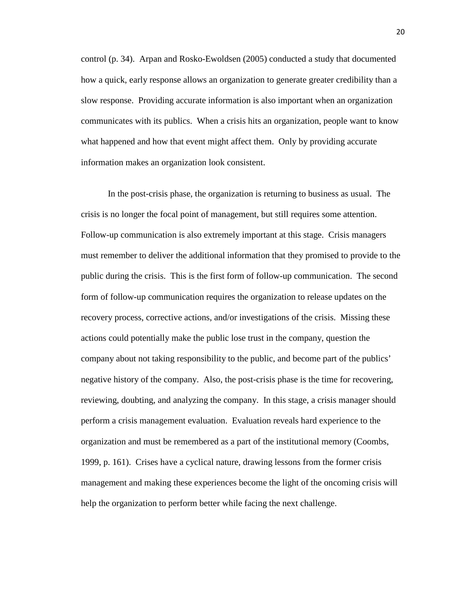control (p. 34). Arpan and Rosko-Ewoldsen (2005) conducted a study that documented how a quick, early response allows an organization to generate greater credibility than a slow response. Providing accurate information is also important when an organization communicates with its publics. When a crisis hits an organization, people want to know what happened and how that event might affect them. Only by providing accurate information makes an organization look consistent.

In the post-crisis phase, the organization is returning to business as usual. The crisis is no longer the focal point of management, but still requires some attention. Follow-up communication is also extremely important at this stage. Crisis managers must remember to deliver the additional information that they promised to provide to the public during the crisis. This is the first form of follow-up communication. The second form of follow-up communication requires the organization to release updates on the recovery process, corrective actions, and/or investigations of the crisis. Missing these actions could potentially make the public lose trust in the company, question the company about not taking responsibility to the public, and become part of the publics' negative history of the company. Also, the post-crisis phase is the time for recovering, reviewing, doubting, and analyzing the company. In this stage, a crisis manager should perform a crisis management evaluation. Evaluation reveals hard experience to the organization and must be remembered as a part of the institutional memory (Coombs, 1999, p. 161). Crises have a cyclical nature, drawing lessons from the former crisis management and making these experiences become the light of the oncoming crisis will help the organization to perform better while facing the next challenge.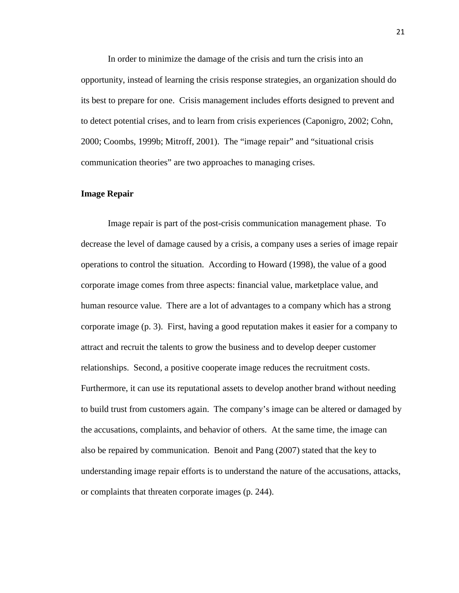In order to minimize the damage of the crisis and turn the crisis into an opportunity, instead of learning the crisis response strategies, an organization should do its best to prepare for one. Crisis management includes efforts designed to prevent and to detect potential crises, and to learn from crisis experiences (Caponigro, 2002; Cohn, 2000; Coombs, 1999b; Mitroff, 2001). The "image repair" and "situational crisis communication theories" are two approaches to managing crises.

#### **Image Repair**

Image repair is part of the post-crisis communication management phase. To decrease the level of damage caused by a crisis, a company uses a series of image repair operations to control the situation. According to Howard (1998), the value of a good corporate image comes from three aspects: financial value, marketplace value, and human resource value. There are a lot of advantages to a company which has a strong corporate image (p. 3). First, having a good reputation makes it easier for a company to attract and recruit the talents to grow the business and to develop deeper customer relationships. Second, a positive cooperate image reduces the recruitment costs. Furthermore, it can use its reputational assets to develop another brand without needing to build trust from customers again. The company's image can be altered or damaged by the accusations, complaints, and behavior of others. At the same time, the image can also be repaired by communication. Benoit and Pang (2007) stated that the key to understanding image repair efforts is to understand the nature of the accusations, attacks, or complaints that threaten corporate images (p. 244).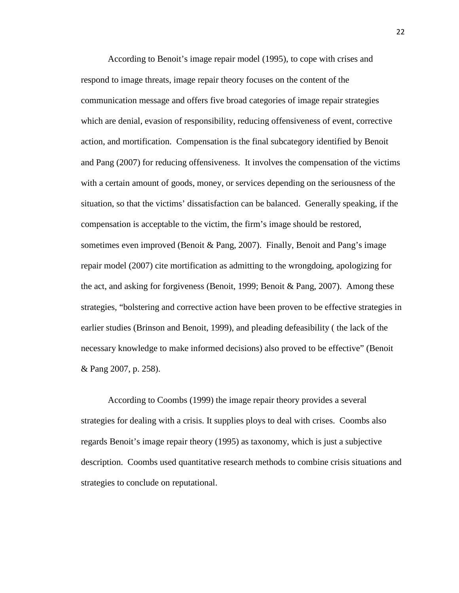According to Benoit's image repair model (1995), to cope with crises and respond to image threats, image repair theory focuses on the content of the communication message and offers five broad categories of image repair strategies which are denial, evasion of responsibility, reducing offensiveness of event, corrective action, and mortification. Compensation is the final subcategory identified by Benoit and Pang (2007) for reducing offensiveness. It involves the compensation of the victims with a certain amount of goods, money, or services depending on the seriousness of the situation, so that the victims' dissatisfaction can be balanced. Generally speaking, if the compensation is acceptable to the victim, the firm's image should be restored, sometimes even improved (Benoit  $\&$  Pang, 2007). Finally, Benoit and Pang's image repair model (2007) cite mortification as admitting to the wrongdoing, apologizing for the act, and asking for forgiveness (Benoit, 1999; Benoit & Pang, 2007). Among these strategies, "bolstering and corrective action have been proven to be effective strategies in earlier studies (Brinson and Benoit, 1999), and pleading defeasibility ( the lack of the necessary knowledge to make informed decisions) also proved to be effective" (Benoit & Pang 2007, p. 258).

According to Coombs (1999) the image repair theory provides a several strategies for dealing with a crisis. It supplies ploys to deal with crises. Coombs also regards Benoit's image repair theory (1995) as taxonomy, which is just a subjective description. Coombs used quantitative research methods to combine crisis situations and strategies to conclude on reputational.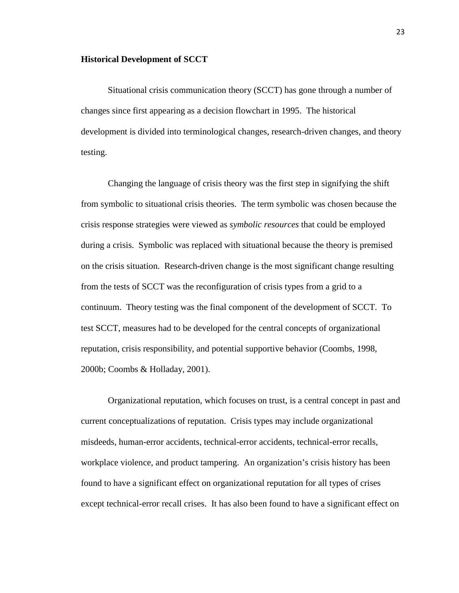#### **Historical Development of SCCT**

Situational crisis communication theory (SCCT) has gone through a number of changes since first appearing as a decision flowchart in 1995. The historical development is divided into terminological changes, research-driven changes, and theory testing.

Changing the language of crisis theory was the first step in signifying the shift from symbolic to situational crisis theories. The term symbolic was chosen because the crisis response strategies were viewed as *symbolic resources* that could be employed during a crisis. Symbolic was replaced with situational because the theory is premised on the crisis situation. Research-driven change is the most significant change resulting from the tests of SCCT was the reconfiguration of crisis types from a grid to a continuum. Theory testing was the final component of the development of SCCT. To test SCCT, measures had to be developed for the central concepts of organizational reputation, crisis responsibility, and potential supportive behavior (Coombs, 1998, 2000b; Coombs & Holladay, 2001).

Organizational reputation, which focuses on trust, is a central concept in past and current conceptualizations of reputation. Crisis types may include organizational misdeeds, human-error accidents, technical-error accidents, technical-error recalls, workplace violence, and product tampering. An organization's crisis history has been found to have a significant effect on organizational reputation for all types of crises except technical-error recall crises. It has also been found to have a significant effect on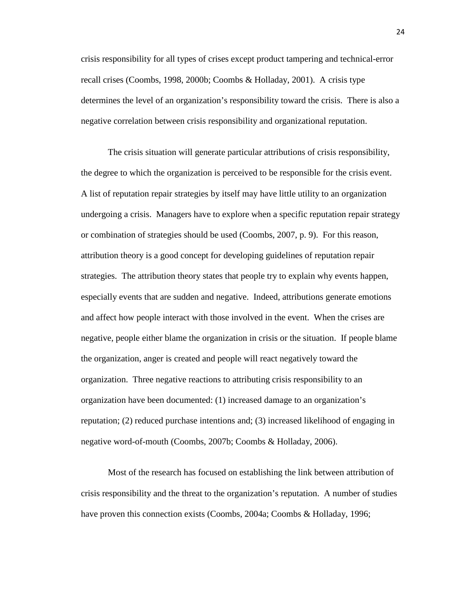crisis responsibility for all types of crises except product tampering and technical-error recall crises (Coombs, 1998, 2000b; Coombs & Holladay, 2001). A crisis type determines the level of an organization's responsibility toward the crisis. There is also a negative correlation between crisis responsibility and organizational reputation.

The crisis situation will generate particular attributions of crisis responsibility, the degree to which the organization is perceived to be responsible for the crisis event. A list of reputation repair strategies by itself may have little utility to an organization undergoing a crisis. Managers have to explore when a specific reputation repair strategy or combination of strategies should be used (Coombs, 2007, p. 9). For this reason, attribution theory is a good concept for developing guidelines of reputation repair strategies. The attribution theory states that people try to explain why events happen, especially events that are sudden and negative. Indeed, attributions generate emotions and affect how people interact with those involved in the event. When the crises are negative, people either blame the organization in crisis or the situation. If people blame the organization, anger is created and people will react negatively toward the organization. Three negative reactions to attributing crisis responsibility to an organization have been documented: (1) increased damage to an organization's reputation; (2) reduced purchase intentions and; (3) increased likelihood of engaging in negative word-of-mouth (Coombs, 2007b; Coombs & Holladay, 2006).

Most of the research has focused on establishing the link between attribution of crisis responsibility and the threat to the organization's reputation. A number of studies have proven this connection exists (Coombs, 2004a; Coombs & Holladay, 1996;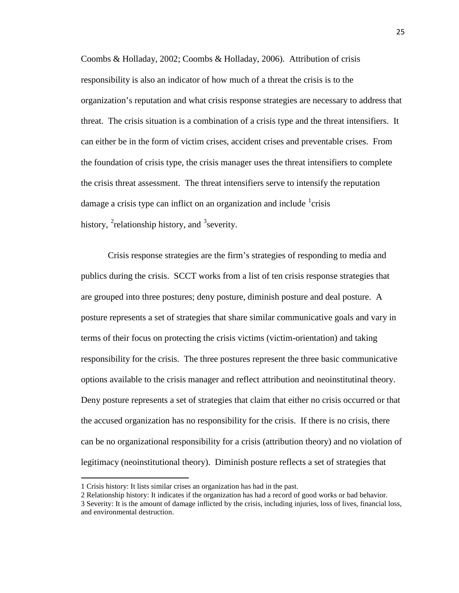Coombs & Holladay, 2002; Coombs & Holladay, 2006). Attribution of crisis responsibility is also an indicator of how much of a threat the crisis is to the organization's reputation and what crisis response strategies are necessary to address that threat. The crisis situation is a combination of a crisis type and the threat intensifiers. It can either be in the form of victim crises, accident crises and preventable crises. From the foundation of crisis type, the crisis manager uses the threat intensifiers to complete the crisis threat assessment. The threat intensifiers serve to intensify the reputation damage a crisis type can inflict on an organization and include <sup>[1](#page-27-0)</sup>crisis history,  $^{2}$  $^{2}$  $^{2}$ relationship history, and  $^{3}$  $^{3}$  $^{3}$ severity.

Crisis response strategies are the firm's strategies of responding to media and publics during the crisis. SCCT works from a list of ten crisis response strategies that are grouped into three postures; deny posture, diminish posture and deal posture. A posture represents a set of strategies that share similar communicative goals and vary in terms of their focus on protecting the crisis victims (victim-orientation) and taking responsibility for the crisis. The three postures represent the three basic communicative options available to the crisis manager and reflect attribution and neoinstitutinal theory. Deny posture represents a set of strategies that claim that either no crisis occurred or that the accused organization has no responsibility for the crisis. If there is no crisis, there can be no organizational responsibility for a crisis (attribution theory) and no violation of legitimacy (neoinstitutional theory). Diminish posture reflects a set of strategies that

 $\overline{\phantom{0}}$ 

<span id="page-27-0"></span><sup>1</sup> Crisis history: It lists similar crises an organization has had in the past.

<span id="page-27-1"></span><sup>2</sup> Relationship history: It indicates if the organization has had a record of good works or bad behavior.

<span id="page-27-2"></span><sup>3</sup> Severity: It is the amount of damage inflicted by the crisis, including injuries, loss of lives, financial loss, and environmental destruction.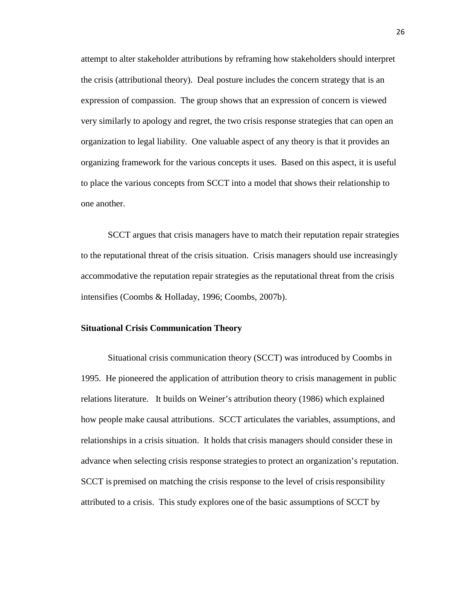attempt to alter stakeholder attributions by reframing how stakeholders should interpret the crisis (attributional theory). Deal posture includes the concern strategy that is an expression of compassion. The group shows that an expression of concern is viewed very similarly to apology and regret, the two crisis response strategies that can open an organization to legal liability. One valuable aspect of any theory is that it provides an organizing framework for the various concepts it uses. Based on this aspect, it is useful to place the various concepts from SCCT into a model that shows their relationship to one another.

SCCT argues that crisis managers have to match their reputation repair strategies to the reputational threat of the crisis situation. Crisis managers should use increasingly accommodative the reputation repair strategies as the reputational threat from the crisis intensifies (Coombs & Holladay, 1996; Coombs, 2007b).

#### **Situational Crisis Communication Theory**

Situational crisis communication theory (SCCT) was introduced by Coombs in 1995. He pioneered the application of attribution theory to crisis management in public relations literature. It builds on Weiner's attribution theory (1986) which explained how people make causal attributions. SCCT articulates the variables, assumptions, and relationships in a crisis situation. It holds that crisis managers should consider these in advance when selecting crisis response strategiesto protect an organization's reputation. SCCT is premised on matching the crisis response to the level of crisisresponsibility attributed to a crisis. This study explores one of the basic assumptions of SCCT by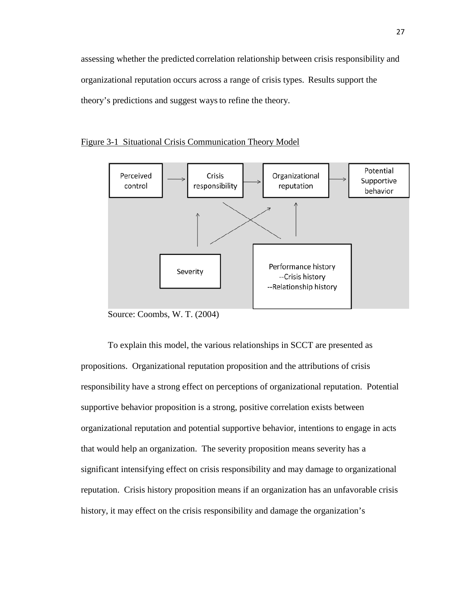assessing whether the predicted correlation relationship between crisis responsibility and organizational reputation occurs across a range of crisis types. Results support the theory's predictions and suggest waysto refine the theory.



#### Figure 3-1 Situational Crisis Communication Theory Model

Source: Coombs, W. T. (2004)

To explain this model, the various relationships in SCCT are presented as propositions.Organizational reputation proposition and the attributions of crisis responsibility have a strong effect on perceptions of organizational reputation. Potential supportive behavior proposition is a strong, positive correlation exists between organizational reputation and potential supportive behavior, intentions to engage in acts that would help an organization. The severity proposition means severity has a significant intensifying effect on crisis responsibility and may damage to organizational reputation. Crisis history proposition means if an organization has an unfavorable crisis history, it may effect on the crisis responsibility and damage the organization's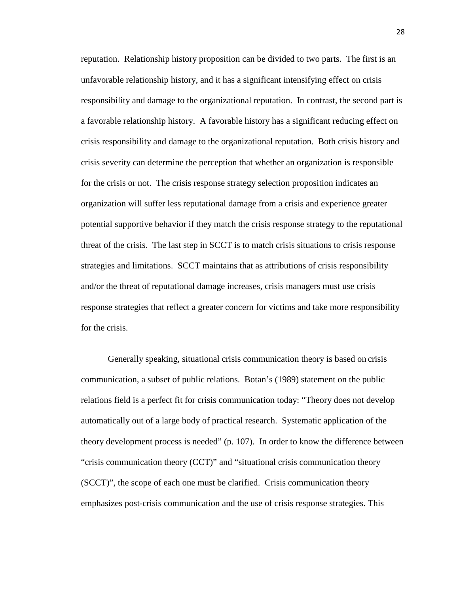reputation. Relationship history proposition can be divided to two parts. The first is an unfavorable relationship history, and it has a significant intensifying effect on crisis responsibility and damage to the organizational reputation. In contrast, the second part is a favorable relationship history. A favorable history has a significant reducing effect on crisis responsibility and damage to the organizational reputation. Both crisis history and crisis severity can determine the perception that whether an organization is responsible for the crisis or not. The crisis response strategy selection proposition indicates an organization will suffer less reputational damage from a crisis and experience greater potential supportive behavior if they match the crisis response strategy to the reputational threat of the crisis. The last step in SCCT is to match crisis situations to crisis response strategies and limitations. SCCT maintains that as attributions of crisis responsibility and/or the threat of reputational damage increases, crisis managers must use crisis response strategies that reflect a greater concern for victims and take more responsibility for the crisis.

Generally speaking, situational crisis communication theory is based on crisis communication, a subset of public relations. Botan's (1989) statement on the public relations field is a perfect fit for crisis communication today: "Theory does not develop automatically out of a large body of practical research. Systematic application of the theory development process is needed" (p. 107). In order to know the difference between "crisis communication theory (CCT)" and "situational crisis communication theory (SCCT)", the scope of each one must be clarified. Crisis communication theory emphasizes post-crisis communication and the use of crisis response strategies. This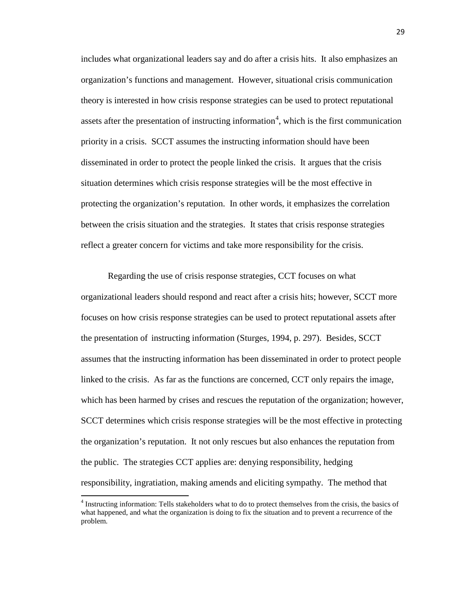includes what organizational leaders say and do after a crisis hits. It also emphasizes an organization's functions and management. However, situational crisis communication theory is interested in how crisis response strategies can be used to protect reputational assets after the presentation of instructing information<sup>[4](#page-31-0)</sup>, which is the first communication priority in a crisis. SCCT assumes the instructing information should have been disseminated in order to protect the people linked the crisis. It argues that the crisis situation determines which crisis response strategies will be the most effective in protecting the organization's reputation. In other words, it emphasizes the correlation between the crisis situation and the strategies. It states that crisis response strategies reflect a greater concern for victims and take more responsibility for the crisis.

Regarding the use of crisis response strategies, CCT focuses on what organizational leaders should respond and react after a crisis hits; however, SCCT more focuses on how crisis response strategies can be used to protect reputational assets after the presentation of instructing information (Sturges, 1994, p. 297). Besides, SCCT assumes that the instructing information has been disseminated in order to protect people linked to the crisis. As far as the functions are concerned, CCT only repairs the image, which has been harmed by crises and rescues the reputation of the organization; however, SCCT determines which crisis response strategies will be the most effective in protecting the organization's reputation. It not only rescues but also enhances the reputation from the public. The strategies CCT applies are: denying responsibility, hedging responsibility, ingratiation, making amends and eliciting sympathy. The method that

 $\overline{\phantom{0}}$ 

<span id="page-31-0"></span><sup>&</sup>lt;sup>4</sup> Instructing information: Tells stakeholders what to do to protect themselves from the crisis, the basics of what happened, and what the organization is doing to fix the situation and to prevent a recurrence of the problem.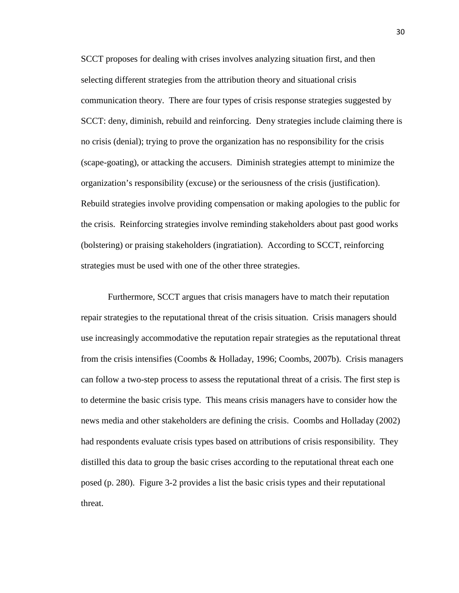SCCT proposes for dealing with crises involves analyzing situation first, and then selecting different strategies from the attribution theory and situational crisis communication theory. There are four types of crisis response strategies suggested by SCCT: deny, diminish, rebuild and reinforcing. Deny strategies include claiming there is no crisis (denial); trying to prove the organization has no responsibility for the crisis (scape-goating), or attacking the accusers. Diminish strategies attempt to minimize the organization's responsibility (excuse) or the seriousness of the crisis (justification). Rebuild strategies involve providing compensation or making apologies to the public for the crisis. Reinforcing strategies involve reminding stakeholders about past good works (bolstering) or praising stakeholders (ingratiation). According to SCCT, reinforcing strategies must be used with one of the other three strategies.

Furthermore, SCCT argues that crisis managers have to match their reputation repair strategies to the reputational threat of the crisis situation. Crisis managers should use increasingly accommodative the reputation repair strategies as the reputational threat from the crisis intensifies (Coombs & Holladay, 1996; Coombs, 2007b). Crisis managers can follow a two-step process to assess the reputational threat of a crisis. The first step is to determine the basic crisis type. This means crisis managers have to consider how the news media and other stakeholders are defining the crisis. Coombs and Holladay (2002) had respondents evaluate crisis types based on attributions of crisis responsibility. They distilled this data to group the basic crises according to the reputational threat each one posed (p. 280). Figure 3-2 provides a list the basic crisis types and their reputational threat.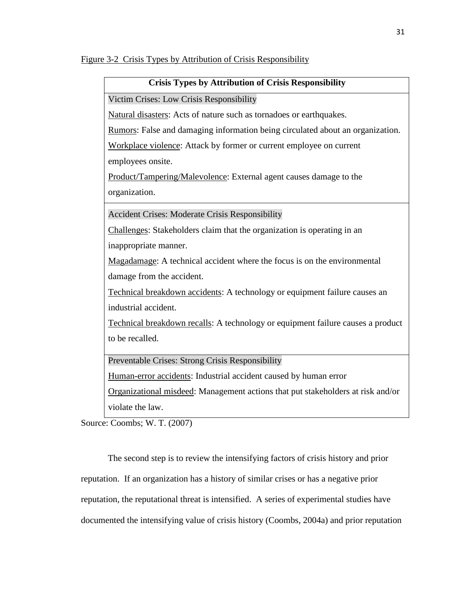| Crisis Types by Aufibution of Crisis Responsibility                            |
|--------------------------------------------------------------------------------|
| Victim Crises: Low Crisis Responsibility                                       |
| Natural disasters: Acts of nature such as tornadoes or earthquakes.            |
| Rumors: False and damaging information being circulated about an organization. |
| Workplace violence: Attack by former or current employee on current            |
| employees onsite.                                                              |
| Product/Tampering/Malevolence: External agent causes damage to the             |
| organization.                                                                  |

 **Crisis Types by Attribution of Crisis Responsibility**

Accident Crises: Moderate Crisis Responsibility

Challenges: Stakeholders claim that the organization is operating in an inappropriate manner.

Magadamage: A technical accident where the focus is on the environmental damage from the accident.

Technical breakdown accidents: A technology or equipment failure causes an industrial accident.

Technical breakdown recalls: A technology or equipment failure causes a product to be recalled.

Preventable Crises: Strong Crisis Responsibility

Human-error accidents: Industrial accident caused by human error

Organizational misdeed: Management actions that put stakeholders at risk and/or violate the law.

Source: Coombs; W. T. (2007)

The second step is to review the intensifying factors of crisis history and prior reputation. If an organization has a history of similar crises or has a negative prior reputation, the reputational threat is intensified. A series of experimental studies have documented the intensifying value of crisis history (Coombs, 2004a) and prior reputation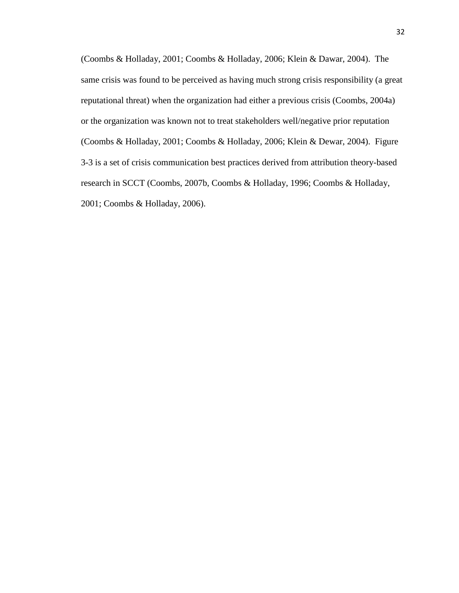(Coombs & Holladay, 2001; Coombs & Holladay, 2006; Klein & Dawar, 2004). The same crisis was found to be perceived as having much strong crisis responsibility (a great reputational threat) when the organization had either a previous crisis (Coombs, 2004a) or the organization was known not to treat stakeholders well/negative prior reputation (Coombs & Holladay, 2001; Coombs & Holladay, 2006; Klein & Dewar, 2004). Figure 3-3 is a set of crisis communication best practices derived from attribution theory-based research in SCCT (Coombs, 2007b, Coombs & Holladay, 1996; Coombs & Holladay, 2001; Coombs & Holladay, 2006).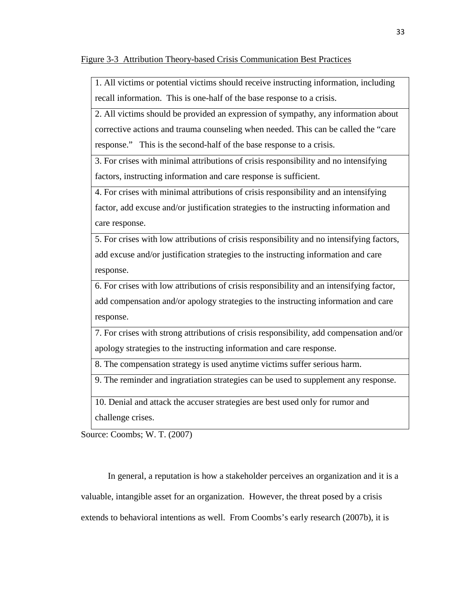Figure 3-3 Attribution Theory-based Crisis Communication Best Practices

1. All victims or potential victims should receive instructing information, including recall information. This is one-half of the base response to a crisis.

2. All victims should be provided an expression of sympathy, any information about corrective actions and trauma counseling when needed. This can be called the "care response." This is the second-half of the base response to a crisis.

3. For crises with minimal attributions of crisis responsibility and no intensifying factors, instructing information and care response is sufficient.

4. For crises with minimal attributions of crisis responsibility and an intensifying factor, add excuse and/or justification strategies to the instructing information and care response.

5. For crises with low attributions of crisis responsibility and no intensifying factors, add excuse and/or justification strategies to the instructing information and care response.

6. For crises with low attributions of crisis responsibility and an intensifying factor, add compensation and/or apology strategies to the instructing information and care response.

7. For crises with strong attributions of crisis responsibility, add compensation and/or apology strategies to the instructing information and care response.

8. The compensation strategy is used anytime victims suffer serious harm.

9. The reminder and ingratiation strategies can be used to supplement any response.

10. Denial and attack the accuser strategies are best used only for rumor and challenge crises.

Source: Coombs; W. T. (2007)

In general, a reputation is how a stakeholder perceives an organization and it is a valuable, intangible asset for an organization. However, the threat posed by a crisis extends to behavioral intentions as well. From Coombs's early research (2007b), it is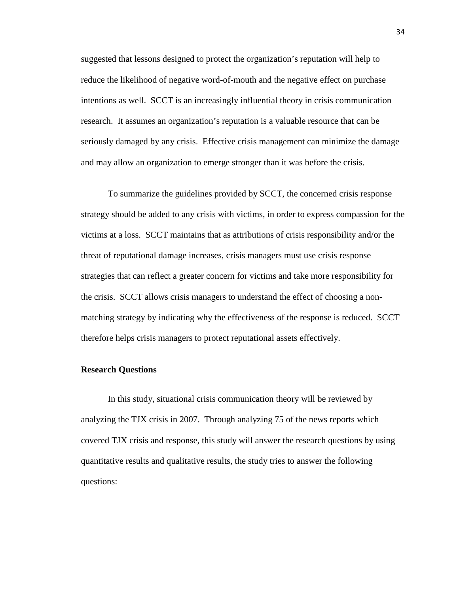suggested that lessons designed to protect the organization's reputation will help to reduce the likelihood of negative word-of-mouth and the negative effect on purchase intentions as well. SCCT is an increasingly influential theory in crisis communication research. It assumes an organization's reputation is a valuable resource that can be seriously damaged by any crisis. Effective crisis management can minimize the damage and may allow an organization to emerge stronger than it was before the crisis.

To summarize the guidelines provided by SCCT, the concerned crisis response strategy should be added to any crisis with victims, in order to express compassion for the victims at a loss. SCCT maintains that as attributions of crisis responsibility and/or the threat of reputational damage increases, crisis managers must use crisis response strategies that can reflect a greater concern for victims and take more responsibility for the crisis. SCCT allows crisis managers to understand the effect of choosing a nonmatching strategy by indicating why the effectiveness of the response is reduced. SCCT therefore helps crisis managers to protect reputational assets effectively.

### **Research Questions**

In this study, situational crisis communication theory will be reviewed by analyzing the TJX crisis in 2007. Through analyzing 75 of the news reports which covered TJX crisis and response, this study will answer the research questions by using quantitative results and qualitative results, the study tries to answer the following questions: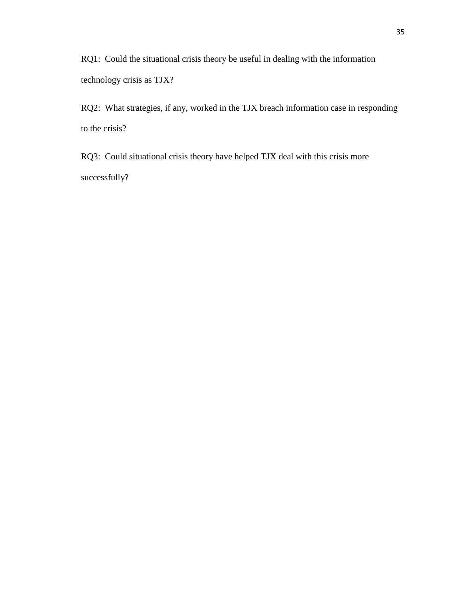RQ1: Could the situational crisis theory be useful in dealing with the information technology crisis as TJX?

RQ2: What strategies, if any, worked in the TJX breach information case in responding to the crisis?

RQ3: Could situational crisis theory have helped TJX deal with this crisis more successfully?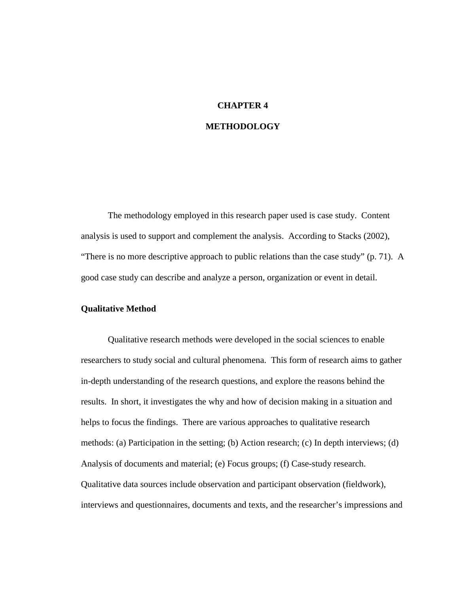### **CHAPTER 4**

# **METHODOLOGY**

The methodology employed in this research paper used is case study. Content analysis is used to support and complement the analysis. According to Stacks (2002), "There is no more descriptive approach to public relations than the case study" (p. 71). A good case study can describe and analyze a person, organization or event in detail.

## **Qualitative Method**

Qualitative research methods were developed in the social sciences to enable researchers to study social and cultural phenomena. This form of research aims to gather in-depth understanding of the research questions, and explore the reasons behind the results. In short, it investigates the why and how of decision making in a situation and helps to focus the findings. There are various approaches to qualitative research methods: (a) Participation in the setting; (b) Action research; (c) In depth interviews; (d) Analysis of documents and material; (e) Focus groups; (f) Case-study research. Qualitative data sources include observation and participant observation (fieldwork), interviews and questionnaires, documents and texts, and the researcher's impressions and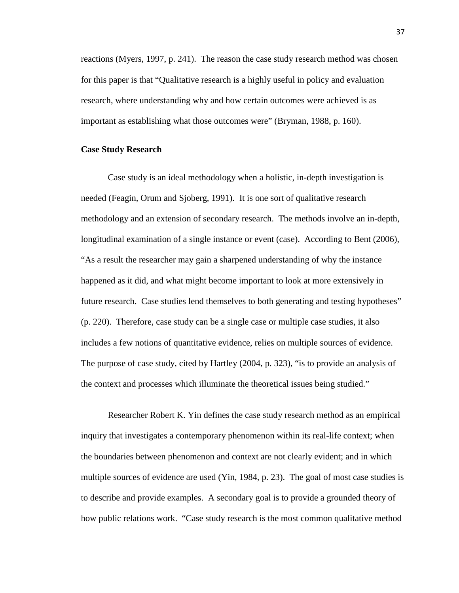reactions (Myers, 1997, p. 241). The reason the case study research method was chosen for this paper is that "Qualitative research is a highly useful in policy and evaluation research, where understanding why and how certain outcomes were achieved is as important as establishing what those outcomes were" (Bryman, 1988, p. 160).

### **Case Study Research**

Case study is an ideal methodology when a holistic, in-depth investigation is needed (Feagin, Orum and Sjoberg, 1991). It is one sort of qualitative research methodology and an extension of secondary research. The methods involve an in-depth, longitudinal examination of a single instance or event (case). According to Bent (2006), "As a result the researcher may gain a sharpened understanding of why the instance happened as it did, and what might become important to look at more extensively in future research. Case studies lend themselves to both generating and testing hypotheses" (p. 220). Therefore, case study can be a single case or multiple case studies, it also includes a few notions of quantitative evidence, relies on multiple sources of evidence. The purpose of case study, cited by Hartley (2004, p. 323), "is to provide an analysis of the context and processes which illuminate the theoretical issues being studied."

Researcher Robert K. Yin defines the case study research method as an empirical inquiry that investigates a contemporary phenomenon within its real-life context; when the boundaries between phenomenon and context are not clearly evident; and in which multiple sources of evidence are used (Yin, 1984, p. 23). The goal of most case studies is to describe and provide examples. A secondary goal is to provide a grounded theory of how public relations work. "Case study research is the most common qualitative method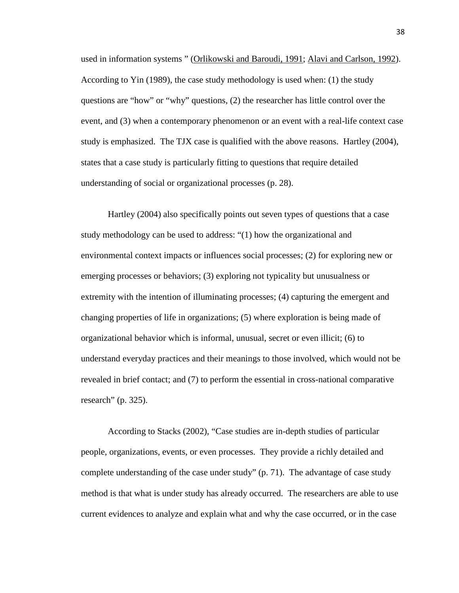used in information systems " [\(Orlikowski and Baroudi, 1991;](http://www.qual.auckland.ac.nz/general.aspx#Orlikowski, W.J. & Baroudi, J.J.) [Alavi and Carlson, 1992\)](http://www.qual.auckland.ac.nz/general.aspx#Alavi, M. and Carlson, P.). According to Yin (1989), the case study methodology is used when: (1) the study questions are "how" or "why" questions, (2) the researcher has little control over the event, and (3) when a contemporary phenomenon or an event with a real-life context case study is emphasized. The TJX case is qualified with the above reasons. Hartley (2004), states that a case study is particularly fitting to questions that require detailed understanding of social or organizational processes (p. 28).

Hartley (2004) also specifically points out seven types of questions that a case study methodology can be used to address: "(1) how the organizational and environmental context impacts or influences social processes; (2) for exploring new or emerging processes or behaviors; (3) exploring not typicality but unusualness or extremity with the intention of illuminating processes; (4) capturing the emergent and changing properties of life in organizations; (5) where exploration is being made of organizational behavior which is informal, unusual, secret or even illicit; (6) to understand everyday practices and their meanings to those involved, which would not be revealed in brief contact; and (7) to perform the essential in cross-national comparative research" (p. 325).

According to Stacks (2002), "Case studies are in-depth studies of particular people, organizations, events, or even processes. They provide a richly detailed and complete understanding of the case under study" (p. 71). The advantage of case study method is that what is under study has already occurred. The researchers are able to use current evidences to analyze and explain what and why the case occurred, or in the case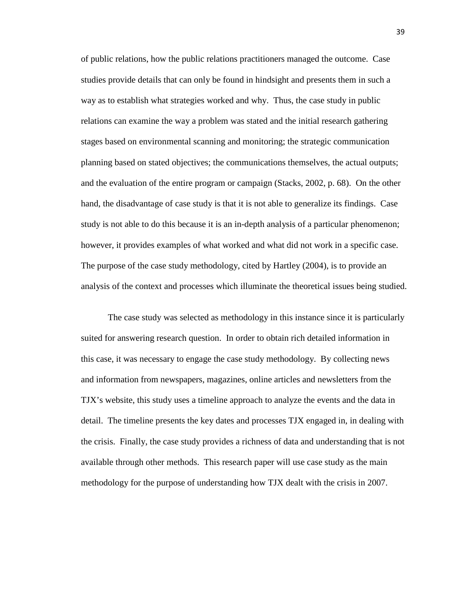of public relations, how the public relations practitioners managed the outcome. Case studies provide details that can only be found in hindsight and presents them in such a way as to establish what strategies worked and why. Thus, the case study in public relations can examine the way a problem was stated and the initial research gathering stages based on environmental scanning and monitoring; the strategic communication planning based on stated objectives; the communications themselves, the actual outputs; and the evaluation of the entire program or campaign (Stacks, 2002, p. 68). On the other hand, the disadvantage of case study is that it is not able to generalize its findings. Case study is not able to do this because it is an in-depth analysis of a particular phenomenon; however, it provides examples of what worked and what did not work in a specific case. The purpose of the case study methodology, cited by Hartley (2004), is to provide an analysis of the context and processes which illuminate the theoretical issues being studied.

The case study was selected as methodology in this instance since it is particularly suited for answering research question. In order to obtain rich detailed information in this case, it was necessary to engage the case study methodology. By collecting news and information from newspapers, magazines, online articles and newsletters from the TJX's website, this study uses a timeline approach to analyze the events and the data in detail. The timeline presents the key dates and processes TJX engaged in, in dealing with the crisis. Finally, the case study provides a richness of data and understanding that is not available through other methods. This research paper will use case study as the main methodology for the purpose of understanding how TJX dealt with the crisis in 2007.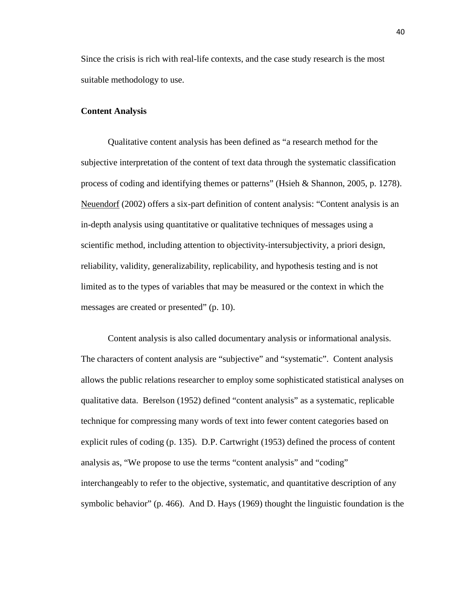Since the crisis is rich with real-life contexts, and the case study research is the most suitable methodology to use.

### **Content Analysis**

Qualitative content analysis has been defined as "a research method for the subjective interpretation of the content of text data through the systematic classification process of coding and identifying themes or patterns" (Hsieh & Shannon, 2005, p. 1278). [Neuendorf](http://en.wikipedia.org/w/index.php?title=Kimberly_A._Neuendorf&action=edit&redlink=1) (2002) offers a six-part definition of content analysis: "Content analysis is an in-depth analysis using quantitative or qualitative techniques of messages using a scientific method, including attention to objectivity-intersubjectivity, a priori design, reliability, validity, generalizability, replicability, and hypothesis testing and is not limited as to the types of variables that may be measured or the context in which the messages are created or presented" (p. 10).

Content analysis is also called documentary analysis or informational analysis. The characters of content analysis are "subjective" and "systematic". Content analysis allows the public relations researcher to employ some sophisticated statistical analyses on qualitative data. Berelson (1952) defined "content analysis" as a systematic, replicable technique for compressing many words of text into fewer content categories based on explicit rules of coding (p. 135). D.P. Cartwright (1953) defined the process of content analysis as, "We propose to use the terms "content analysis" and "coding" interchangeably to refer to the objective, systematic, and quantitative description of any symbolic behavior" (p. 466). And D. Hays (1969) thought the linguistic foundation is the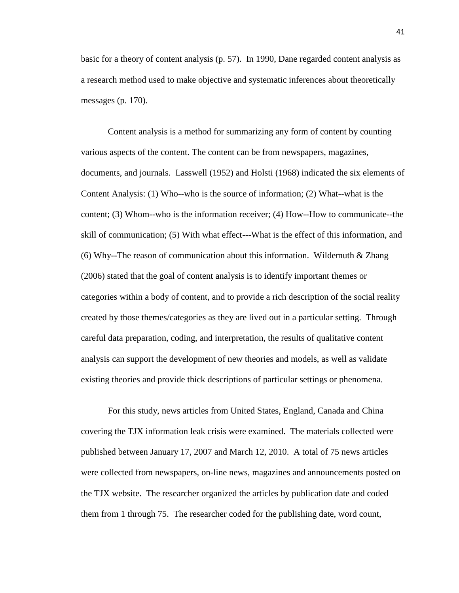basic for a theory of content analysis (p. 57). In 1990, Dane regarded content analysis as a research method used to make objective and systematic inferences about theoretically messages (p. 170).

Content analysis is a method for summarizing any form of content by counting various aspects of the content. The content can be from newspapers, magazines, documents, and journals. Lasswell (1952) and Holsti (1968) indicated the six elements of Content Analysis: (1) Who--who is the source of information; (2) What--what is the content; (3) Whom--who is the information receiver; (4) How--How to communicate--the skill of communication; (5) With what effect---What is the effect of this information, and (6) Why--The reason of communication about this information. Wildemuth  $&$  Zhang (2006) stated that the goal of content analysis is to identify important themes or categories within a body of content, and to provide a rich description of the social reality created by those themes/categories as they are lived out in a particular setting. Through careful data preparation, coding, and interpretation, the results of qualitative content analysis can support the development of new theories and models, as well as validate existing theories and provide thick descriptions of particular settings or phenomena.

For this study, news articles from United States, England, Canada and China covering the TJX information leak crisis were examined. The materials collected were published between January 17, 2007 and March 12, 2010. A total of 75 news articles were collected from newspapers, on-line news, magazines and announcements posted on the TJX website. The researcher organized the articles by publication date and coded them from 1 through 75. The researcher coded for the publishing date, word count,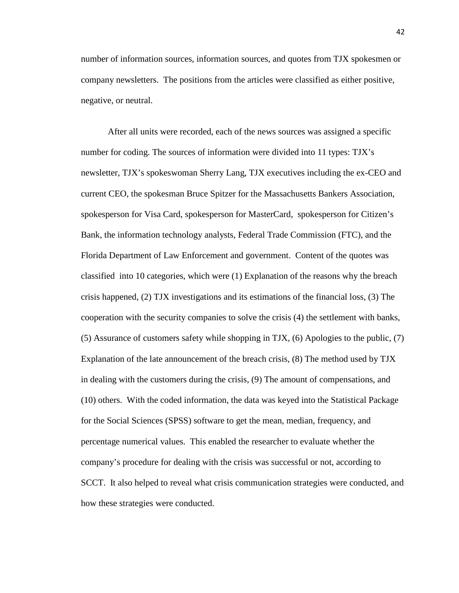number of information sources, information sources, and quotes from TJX spokesmen or company newsletters. The positions from the articles were classified as either positive, negative, or neutral.

After all units were recorded, each of the news sources was assigned a specific number for coding. The sources of information were divided into 11 types: TJX's newsletter, TJX's spokeswoman Sherry Lang, TJX executives including the ex-CEO and current CEO, the spokesman Bruce Spitzer for the Massachusetts Bankers Association, spokesperson for Visa Card, spokesperson for MasterCard, spokesperson for Citizen's Bank, the information technology analysts, Federal Trade Commission (FTC), and the Florida Department of Law Enforcement and government. Content of the quotes was classified into 10 categories, which were (1) Explanation of the reasons why the breach crisis happened, (2) TJX investigations and its estimations of the financial loss, (3) The cooperation with the security companies to solve the crisis (4) the settlement with banks, (5) Assurance of customers safety while shopping in TJX, (6) Apologies to the public, (7) Explanation of the late announcement of the breach crisis, (8) The method used by TJX in dealing with the customers during the crisis, (9) The amount of compensations, and (10) others. With the coded information, the data was keyed into the Statistical Package for the Social Sciences (SPSS) software to get the mean, median, frequency, and percentage numerical values. This enabled the researcher to evaluate whether the company's procedure for dealing with the crisis was successful or not, according to SCCT. It also helped to reveal what crisis communication strategies were conducted, and how these strategies were conducted.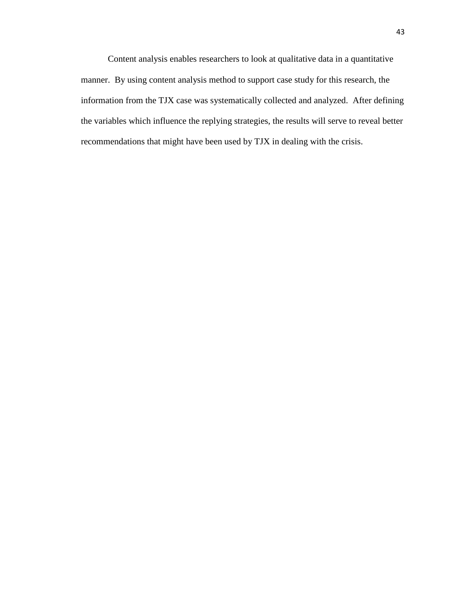Content analysis enables researchers to look at qualitative data in a quantitative manner. By using content analysis method to support case study for this research, the information from the TJX case was systematically collected and analyzed. After defining the variables which influence the replying strategies, the results will serve to reveal better recommendations that might have been used by TJX in dealing with the crisis.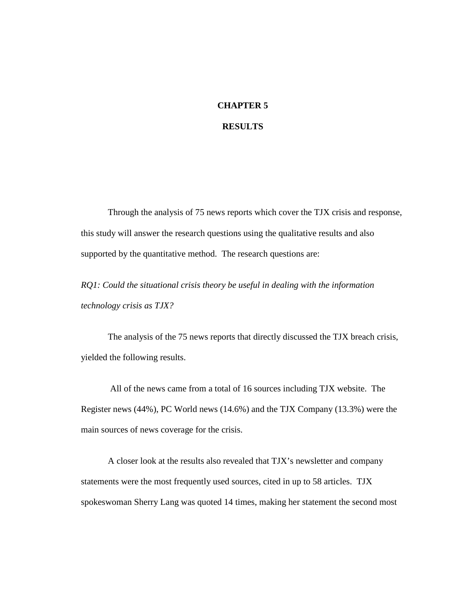## **CHAPTER 5**

### **RESULTS**

Through the analysis of 75 news reports which cover the TJX crisis and response, this study will answer the research questions using the qualitative results and also supported by the quantitative method. The research questions are:

*RQ1: Could the situational crisis theory be useful in dealing with the information technology crisis as TJX?*

The analysis of the 75 news reports that directly discussed the TJX breach crisis, yielded the following results.

All of the news came from a total of 16 sources including TJX website. The Register news (44%), PC World news (14.6%) and the TJX Company (13.3%) were the main sources of news coverage for the crisis.

A closer look at the results also revealed that TJX's newsletter and company statements were the most frequently used sources, cited in up to 58 articles. TJX spokeswoman Sherry Lang was quoted 14 times, making her statement the second most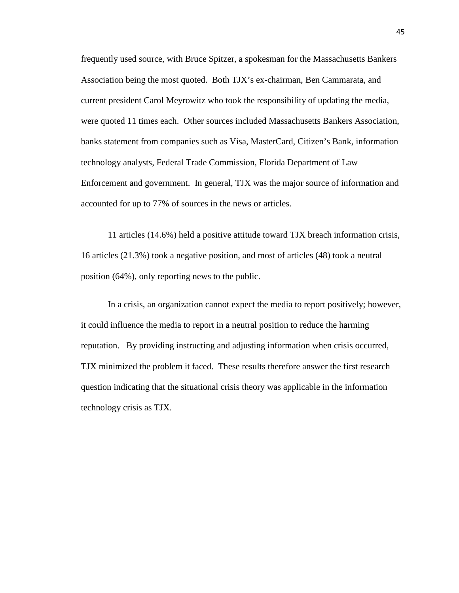frequently used source, with Bruce Spitzer, a spokesman for the Massachusetts Bankers Association being the most quoted. Both TJX's ex-chairman, Ben Cammarata, and current president Carol Meyrowitz who took the responsibility of updating the media, were quoted 11 times each. Other sources included Massachusetts Bankers Association, banks statement from companies such as Visa, MasterCard, Citizen's Bank, information technology analysts, Federal Trade Commission, Florida Department of Law Enforcement and government. In general, TJX was the major source of information and accounted for up to 77% of sources in the news or articles.

11 articles (14.6%) held a positive attitude toward TJX breach information crisis, 16 articles (21.3%) took a negative position, and most of articles (48) took a neutral position (64%), only reporting news to the public.

In a crisis, an organization cannot expect the media to report positively; however, it could influence the media to report in a neutral position to reduce the harming reputation. By providing instructing and adjusting information when crisis occurred, TJX minimized the problem it faced. These results therefore answer the first research question indicating that the situational crisis theory was applicable in the information technology crisis as TJX.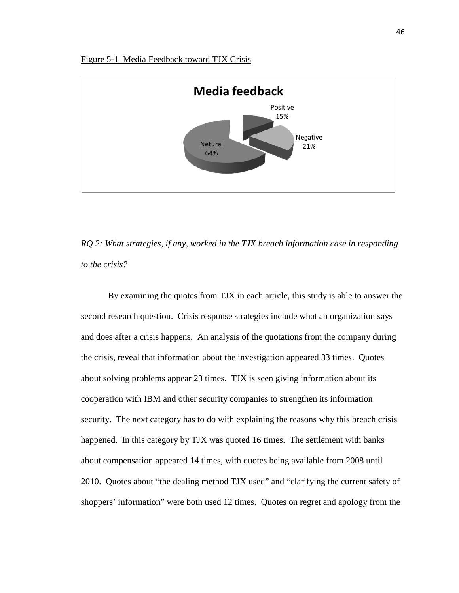



*RQ 2: What strategies, if any, worked in the TJX breach information case in responding to the crisis?* 

By examining the quotes from TJX in each article, this study is able to answer the second research question. Crisis response strategies include what an organization says and does after a crisis happens. An analysis of the quotations from the company during the crisis, reveal that information about the investigation appeared 33 times. Quotes about solving problems appear 23 times. TJX is seen giving information about its cooperation with IBM and other security companies to strengthen its information security. The next category has to do with explaining the reasons why this breach crisis happened. In this category by TJX was quoted 16 times. The settlement with banks about compensation appeared 14 times, with quotes being available from 2008 until 2010. Quotes about "the dealing method TJX used" and "clarifying the current safety of shoppers' information" were both used 12 times. Quotes on regret and apology from the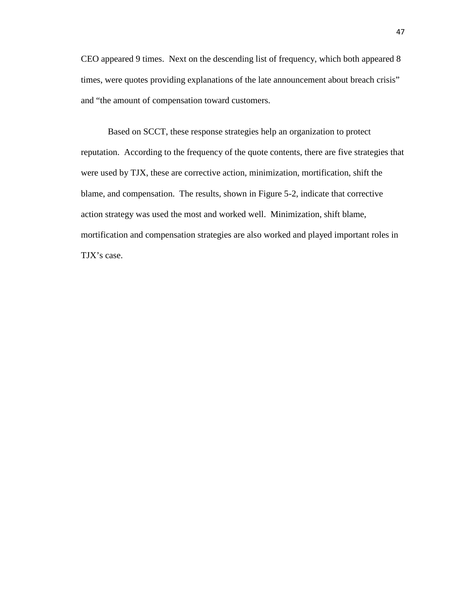CEO appeared 9 times. Next on the descending list of frequency, which both appeared 8 times, were quotes providing explanations of the late announcement about breach crisis" and "the amount of compensation toward customers.

Based on SCCT, these response strategies help an organization to protect reputation. According to the frequency of the quote contents, there are five strategies that were used by TJX, these are corrective action, minimization, mortification, shift the blame, and compensation. The results, shown in Figure 5-2, indicate that corrective action strategy was used the most and worked well. Minimization, shift blame, mortification and compensation strategies are also worked and played important roles in TJX's case.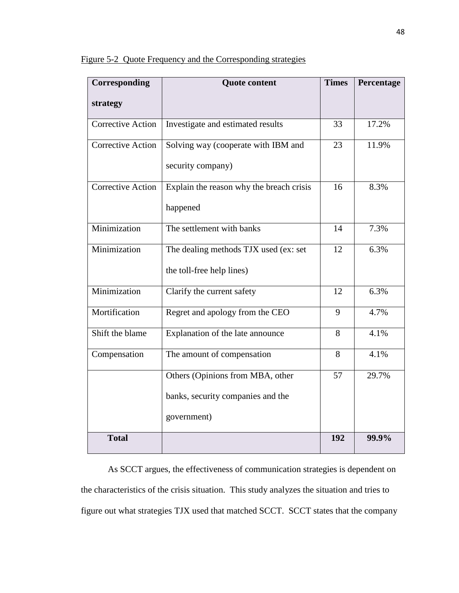| Corresponding            | <b>Quote content</b>                                                                 | <b>Times</b> | Percentage |
|--------------------------|--------------------------------------------------------------------------------------|--------------|------------|
| strategy                 |                                                                                      |              |            |
| <b>Corrective Action</b> | Investigate and estimated results                                                    | 33           | 17.2%      |
| <b>Corrective Action</b> | Solving way (cooperate with IBM and<br>security company)                             | 23           | 11.9%      |
| <b>Corrective Action</b> | Explain the reason why the breach crisis<br>happened                                 | 16           | 8.3%       |
| Minimization             | The settlement with banks                                                            | 14           | 7.3%       |
| Minimization             | The dealing methods TJX used (ex: set<br>the toll-free help lines)                   | 12           | 6.3%       |
| Minimization             | Clarify the current safety                                                           | 12           | 6.3%       |
| Mortification            | Regret and apology from the CEO                                                      | 9            | 4.7%       |
| Shift the blame          | Explanation of the late announce                                                     | 8            | 4.1%       |
| Compensation             | The amount of compensation                                                           | 8            | 4.1%       |
|                          | Others (Opinions from MBA, other<br>banks, security companies and the<br>government) | 57           | 29.7%      |
| <b>Total</b>             |                                                                                      | 192          | 99.9%      |

Figure 5-2 Quote Frequency and the Corresponding strategies

As SCCT argues, the effectiveness of communication strategies is dependent on the characteristics of the crisis situation. This study analyzes the situation and tries to figure out what strategies TJX used that matched SCCT. SCCT states that the company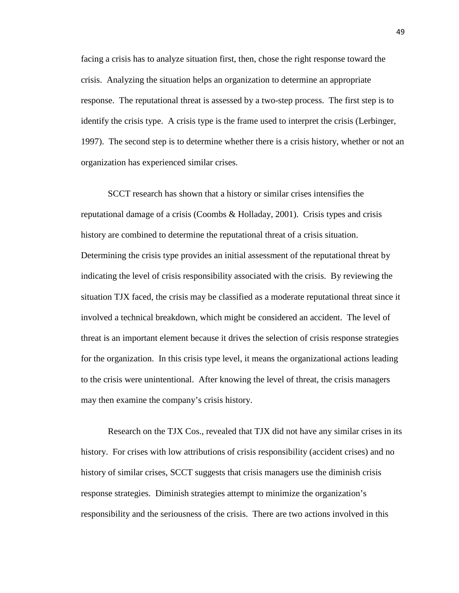facing a crisis has to analyze situation first, then, chose the right response toward the crisis. Analyzing the situation helps an organization to determine an appropriate response. The reputational threat is assessed by a two-step process. The first step is to identify the crisis type. A crisis type is the frame used to interpret the crisis (Lerbinger, 1997). The second step is to determine whether there is a crisis history, whether or not an organization has experienced similar crises.

SCCT research has shown that a history or similar crises intensifies the reputational damage of a crisis (Coombs & Holladay, 2001). Crisis types and crisis history are combined to determine the reputational threat of a crisis situation. Determining the crisis type provides an initial assessment of the reputational threat by indicating the level of crisis responsibility associated with the crisis. By reviewing the situation TJX faced, the crisis may be classified as a moderate reputational threat since it involved a technical breakdown, which might be considered an accident. The level of threat is an important element because it drives the selection of crisis response strategies for the organization. In this crisis type level, it means the organizational actions leading to the crisis were unintentional. After knowing the level of threat, the crisis managers may then examine the company's crisis history.

Research on the TJX Cos., revealed that TJX did not have any similar crises in its history. For crises with low attributions of crisis responsibility (accident crises) and no history of similar crises, SCCT suggests that crisis managers use the diminish crisis response strategies. Diminish strategies attempt to minimize the organization's responsibility and the seriousness of the crisis. There are two actions involved in this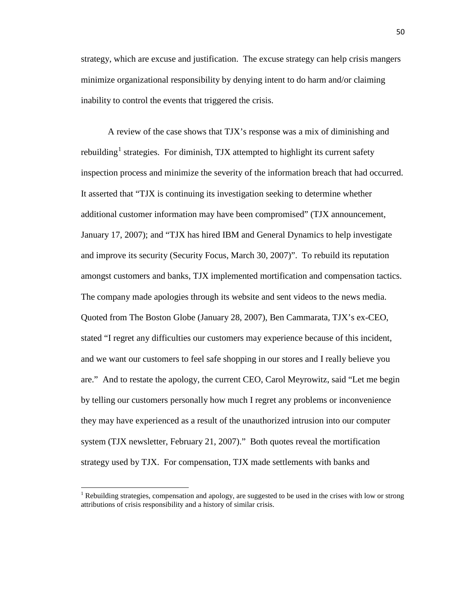strategy, which are excuse and justification. The excuse strategy can help crisis mangers minimize organizational responsibility by denying intent to do harm and/or claiming inability to control the events that triggered the crisis.

A review of the case shows that TJX's response was a mix of diminishing and rebuilding<sup>[1](#page-52-0)</sup> strategies. For diminish, TJX attempted to highlight its current safety inspection process and minimize the severity of the information breach that had occurred. It asserted that "TJX is continuing its investigation seeking to determine whether additional customer information may have been compromised" (TJX announcement, January 17, 2007); and "TJX has hired IBM and General Dynamics to help investigate and improve its security (Security Focus, March 30, 2007)". To rebuild its reputation amongst customers and banks, TJX implemented mortification and compensation tactics. The company made apologies through its website and sent videos to the news media. Quoted from The Boston Globe (January 28, 2007), Ben Cammarata, TJX's ex-CEO, stated "I regret any difficulties our customers may experience because of this incident, and we want our customers to feel safe shopping in our stores and I really believe you are." And to restate the apology, the current CEO, Carol Meyrowitz, said "Let me begin by telling our customers personally how much I regret any problems or inconvenience they may have experienced as a result of the unauthorized intrusion into our computer system (TJX newsletter, February 21, 2007)." Both quotes reveal the mortification strategy used by TJX. For compensation, TJX made settlements with banks and

ı

<span id="page-52-0"></span><sup>&</sup>lt;sup>1</sup> Rebuilding strategies, compensation and apology, are suggested to be used in the crises with low or strong attributions of crisis responsibility and a history of similar crisis.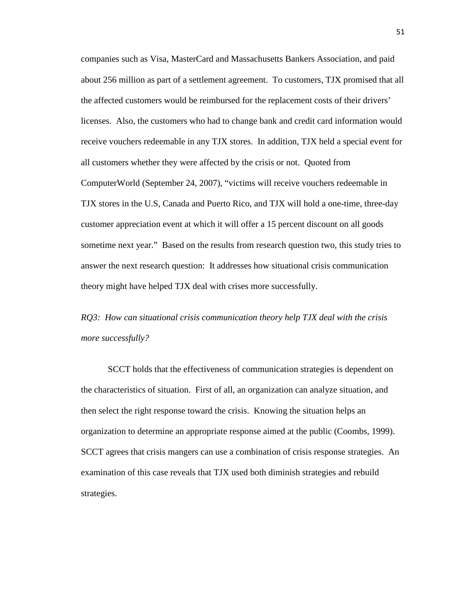companies such as Visa, MasterCard and Massachusetts Bankers Association, and paid about 256 million as part of a settlement agreement. To customers, TJX promised that all the affected customers would be reimbursed for the replacement costs of their drivers' licenses. Also, the customers who had to change bank and credit card information would receive vouchers redeemable in any TJX stores. In addition, TJX held a special event for all customers whether they were affected by the crisis or not. Quoted from ComputerWorld (September 24, 2007), "victims will receive vouchers redeemable in TJX stores in the U.S, Canada and Puerto Rico, and TJX will hold a one-time, three-day customer appreciation event at which it will offer a 15 percent discount on all goods sometime next year." Based on the results from research question two, this study tries to answer the next research question: It addresses how situational crisis communication theory might have helped TJX deal with crises more successfully.

*RQ3: How can situational crisis communication theory help TJX deal with the crisis more successfully?*

SCCT holds that the effectiveness of communication strategies is dependent on the characteristics of situation. First of all, an organization can analyze situation, and then select the right response toward the crisis. Knowing the situation helps an organization to determine an appropriate response aimed at the public (Coombs, 1999). SCCT agrees that crisis mangers can use a combination of crisis response strategies. An examination of this case reveals that TJX used both diminish strategies and rebuild strategies.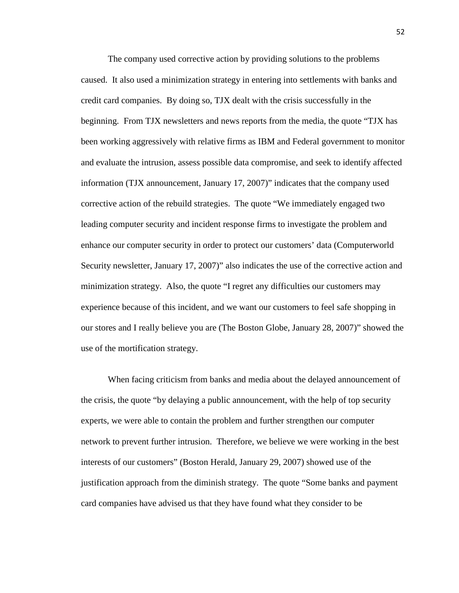The company used corrective action by providing solutions to the problems caused. It also used a minimization strategy in entering into settlements with banks and credit card companies. By doing so, TJX dealt with the crisis successfully in the beginning. From TJX newsletters and news reports from the media, the quote "TJX has been working aggressively with relative firms as IBM and Federal government to monitor and evaluate the intrusion, assess possible data compromise, and seek to identify affected information (TJX announcement, January 17, 2007)" indicates that the company used corrective action of the rebuild strategies. The quote "We immediately engaged two leading computer security and incident response firms to investigate the problem and enhance our computer security in order to protect our customers' data (Computerworld Security newsletter, January 17, 2007)" also indicates the use of the corrective action and minimization strategy. Also, the quote "I regret any difficulties our customers may experience because of this incident, and we want our customers to feel safe shopping in our stores and I really believe you are (The Boston Globe, January 28, 2007)" showed the use of the mortification strategy.

When facing criticism from banks and media about the delayed announcement of the crisis, the quote "by delaying a public announcement, with the help of top security experts, we were able to contain the problem and further strengthen our computer network to prevent further intrusion. Therefore, we believe we were working in the best interests of our customers" (Boston Herald, January 29, 2007) showed use of the justification approach from the diminish strategy. The quote "Some banks and payment card companies have advised us that they have found what they consider to be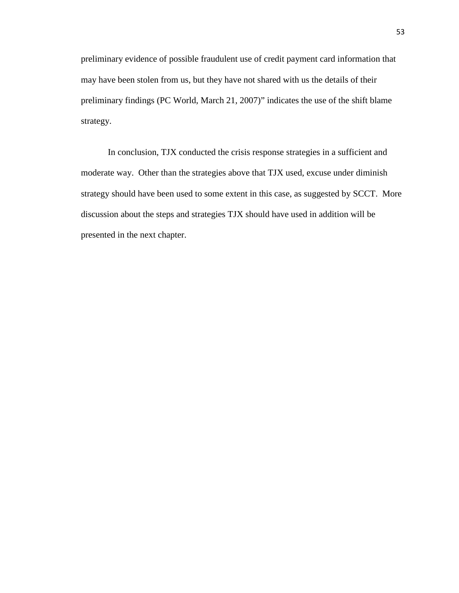preliminary evidence of possible fraudulent use of credit payment card information that may have been stolen from us, but they have not shared with us the details of their preliminary findings (PC World, March 21, 2007)" indicates the use of the shift blame strategy.

In conclusion, TJX conducted the crisis response strategies in a sufficient and moderate way. Other than the strategies above that TJX used, excuse under diminish strategy should have been used to some extent in this case, as suggested by SCCT. More discussion about the steps and strategies TJX should have used in addition will be presented in the next chapter.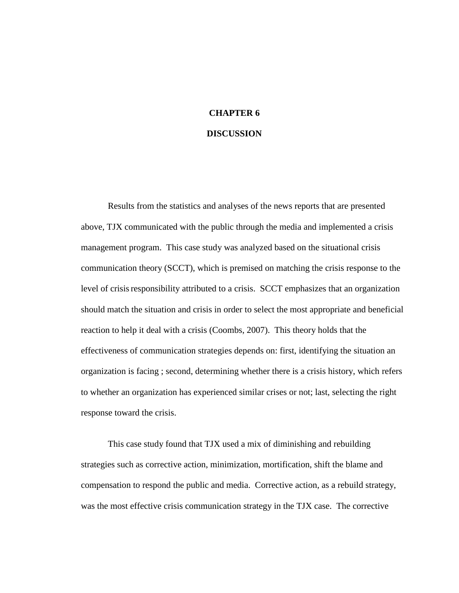# **CHAPTER 6**

# **DISCUSSION**

Results from the statistics and analyses of the news reports that are presented above, TJX communicated with the public through the media and implemented a crisis management program. This case study was analyzed based on the situational crisis communication theory (SCCT), which is premised on matching the crisis response to the level of crisis responsibility attributed to a crisis. SCCT emphasizes that an organization should match the situation and crisis in order to select the most appropriate and beneficial reaction to help it deal with a crisis (Coombs, 2007). This theory holds that the effectiveness of communication strategies depends on: first, identifying the situation an organization is facing ; second, determining whether there is a crisis history, which refers to whether an organization has experienced similar crises or not; last, selecting the right response toward the crisis.

This case study found that TJX used a mix of diminishing and rebuilding strategies such as corrective action, minimization, mortification, shift the blame and compensation to respond the public and media. Corrective action, as a rebuild strategy, was the most effective crisis communication strategy in the TJX case. The corrective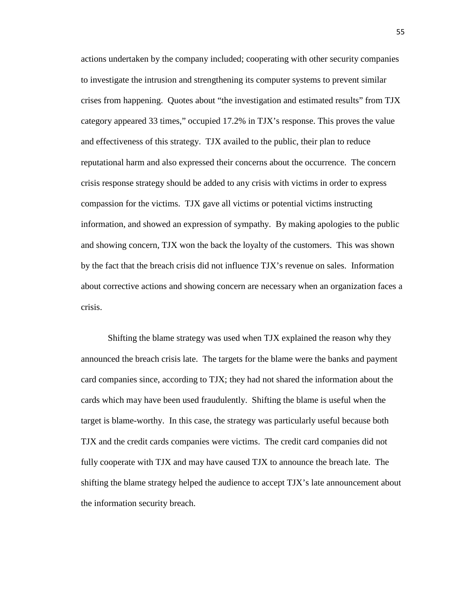actions undertaken by the company included; cooperating with other security companies to investigate the intrusion and strengthening its computer systems to prevent similar crises from happening. Quotes about "the investigation and estimated results" from TJX category appeared 33 times," occupied 17.2% in TJX's response. This proves the value and effectiveness of this strategy. TJX availed to the public, their plan to reduce reputational harm and also expressed their concerns about the occurrence. The concern crisis response strategy should be added to any crisis with victims in order to express compassion for the victims. TJX gave all victims or potential victims instructing information, and showed an expression of sympathy. By making apologies to the public and showing concern, TJX won the back the loyalty of the customers. This was shown by the fact that the breach crisis did not influence TJX's revenue on sales. Information about corrective actions and showing concern are necessary when an organization faces a crisis.

Shifting the blame strategy was used when TJX explained the reason why they announced the breach crisis late. The targets for the blame were the banks and payment card companies since, according to TJX; they had not shared the information about the cards which may have been used fraudulently. Shifting the blame is useful when the target is blame-worthy. In this case, the strategy was particularly useful because both TJX and the credit cards companies were victims. The credit card companies did not fully cooperate with TJX and may have caused TJX to announce the breach late. The shifting the blame strategy helped the audience to accept TJX's late announcement about the information security breach.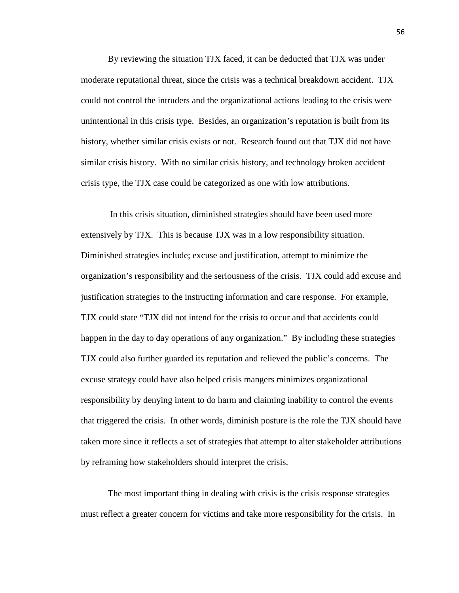By reviewing the situation TJX faced, it can be deducted that TJX was under moderate reputational threat, since the crisis was a technical breakdown accident. TJX could not control the intruders and the organizational actions leading to the crisis were unintentional in this crisis type. Besides, an organization's reputation is built from its history, whether similar crisis exists or not. Research found out that TJX did not have similar crisis history. With no similar crisis history, and technology broken accident crisis type, the TJX case could be categorized as one with low attributions.

In this crisis situation, diminished strategies should have been used more extensively by TJX. This is because TJX was in a low responsibility situation. Diminished strategies include; excuse and justification, attempt to minimize the organization's responsibility and the seriousness of the crisis. TJX could add excuse and justification strategies to the instructing information and care response. For example, TJX could state "TJX did not intend for the crisis to occur and that accidents could happen in the day to day operations of any organization." By including these strategies TJX could also further guarded its reputation and relieved the public's concerns. The excuse strategy could have also helped crisis mangers minimizes organizational responsibility by denying intent to do harm and claiming inability to control the events that triggered the crisis. In other words, diminish posture is the role the TJX should have taken more since it reflects a set of strategies that attempt to alter stakeholder attributions by reframing how stakeholders should interpret the crisis.

The most important thing in dealing with crisis is the crisis response strategies must reflect a greater concern for victims and take more responsibility for the crisis. In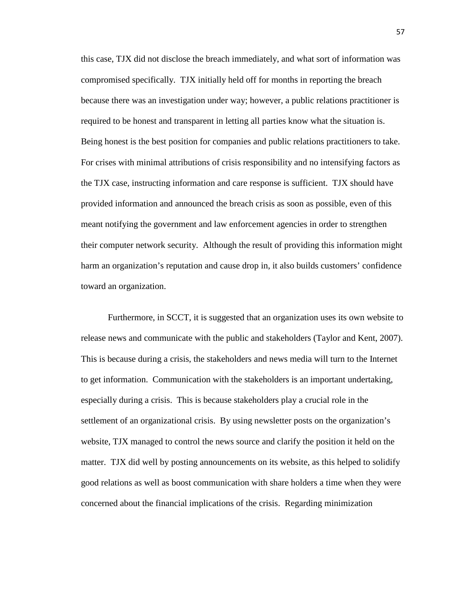this case, TJX did not disclose the breach immediately, and what sort of information was compromised specifically. TJX initially held off for months in reporting the breach because there was an investigation under way; however, a public relations practitioner is required to be honest and transparent in letting all parties know what the situation is. Being honest is the best position for companies and public relations practitioners to take. For crises with minimal attributions of crisis responsibility and no intensifying factors as the TJX case, instructing information and care response is sufficient. TJX should have provided information and announced the breach crisis as soon as possible, even of this meant notifying the government and law enforcement agencies in order to strengthen their computer network security. Although the result of providing this information might harm an organization's reputation and cause drop in, it also builds customers' confidence toward an organization.

Furthermore, in SCCT, it is suggested that an organization uses its own website to release news and communicate with the public and stakeholders (Taylor and Kent, 2007). This is because during a crisis, the stakeholders and news media will turn to the Internet to get information. Communication with the stakeholders is an important undertaking, especially during a crisis. This is because stakeholders play a crucial role in the settlement of an organizational crisis. By using newsletter posts on the organization's website, TJX managed to control the news source and clarify the position it held on the matter. TJX did well by posting announcements on its website, as this helped to solidify good relations as well as boost communication with share holders a time when they were concerned about the financial implications of the crisis. Regarding minimization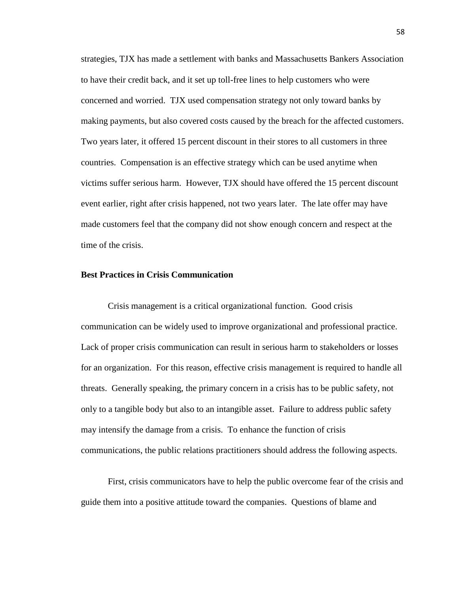strategies, TJX has made a settlement with banks and Massachusetts Bankers Association to have their credit back, and it set up toll-free lines to help customers who were concerned and worried. TJX used compensation strategy not only toward banks by making payments, but also covered costs caused by the breach for the affected customers. Two years later, it offered 15 percent discount in their stores to all customers in three countries. Compensation is an effective strategy which can be used anytime when victims suffer serious harm. However, TJX should have offered the 15 percent discount event earlier, right after crisis happened, not two years later. The late offer may have made customers feel that the company did not show enough concern and respect at the time of the crisis.

### **Best Practices in Crisis Communication**

Crisis management is a critical organizational function. Good crisis communication can be widely used to improve organizational and professional practice. Lack of proper crisis communication can result in serious harm to stakeholders or losses for an organization. For this reason, effective crisis management is required to handle all threats. Generally speaking, the primary concern in a crisis has to be public safety, not only to a tangible body but also to an intangible asset. Failure to address public safety may intensify the damage from a crisis. To enhance the function of crisis communications, the public relations practitioners should address the following aspects.

First, crisis communicators have to help the public overcome fear of the crisis and guide them into a positive attitude toward the companies. Questions of blame and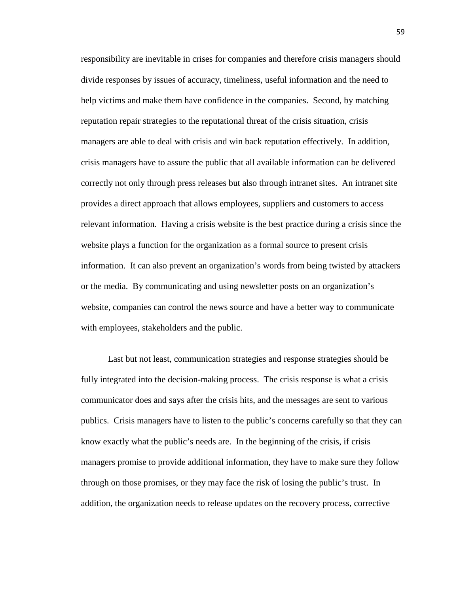responsibility are inevitable in crises for companies and therefore crisis managers should divide responses by issues of accuracy, timeliness, useful information and the need to help victims and make them have confidence in the companies. Second, by matching reputation repair strategies to the reputational threat of the crisis situation, crisis managers are able to deal with crisis and win back reputation effectively. In addition, crisis managers have to assure the public that all available information can be delivered correctly not only through press releases but also through intranet sites. An intranet site provides a direct approach that allows employees, suppliers and customers to access relevant information. Having a crisis website is the best practice during a crisis since the website plays a function for the organization as a formal source to present crisis information. It can also prevent an organization's words from being twisted by attackers or the media. By communicating and using newsletter posts on an organization's website, companies can control the news source and have a better way to communicate with employees, stakeholders and the public.

Last but not least, communication strategies and response strategies should be fully integrated into the decision-making process. The crisis response is what a crisis communicator does and says after the crisis hits, and the messages are sent to various publics. Crisis managers have to listen to the public's concerns carefully so that they can know exactly what the public's needs are. In the beginning of the crisis, if crisis managers promise to provide additional information, they have to make sure they follow through on those promises, or they may face the risk of losing the public's trust. In addition, the organization needs to release updates on the recovery process, corrective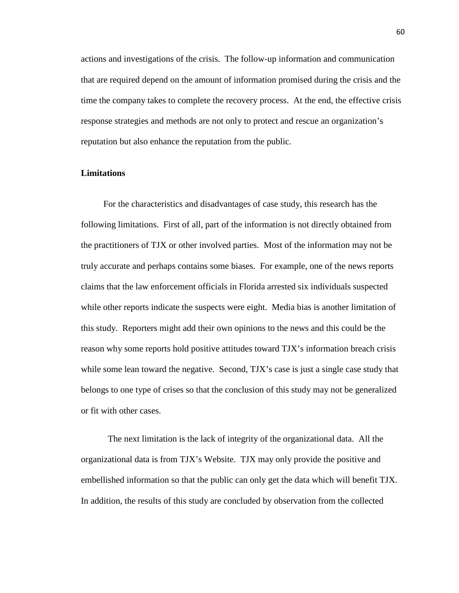actions and investigations of the crisis. The follow-up information and communication that are required depend on the amount of information promised during the crisis and the time the company takes to complete the recovery process. At the end, the effective crisis response strategies and methods are not only to protect and rescue an organization's reputation but also enhance the reputation from the public.

### **Limitations**

 For the characteristics and disadvantages of case study, this research has the following limitations. First of all, part of the information is not directly obtained from the practitioners of TJX or other involved parties. Most of the information may not be truly accurate and perhaps contains some biases. For example, one of the news reports claims that the law enforcement officials in Florida arrested six individuals suspected while other reports indicate the suspects were eight. Media bias is another limitation of this study. Reporters might add their own opinions to the news and this could be the reason why some reports hold positive attitudes toward TJX's information breach crisis while some lean toward the negative. Second, TJX's case is just a single case study that belongs to one type of crises so that the conclusion of this study may not be generalized or fit with other cases.

The next limitation is the lack of integrity of the organizational data. All the organizational data is from TJX's Website. TJX may only provide the positive and embellished information so that the public can only get the data which will benefit TJX. In addition, the results of this study are concluded by observation from the collected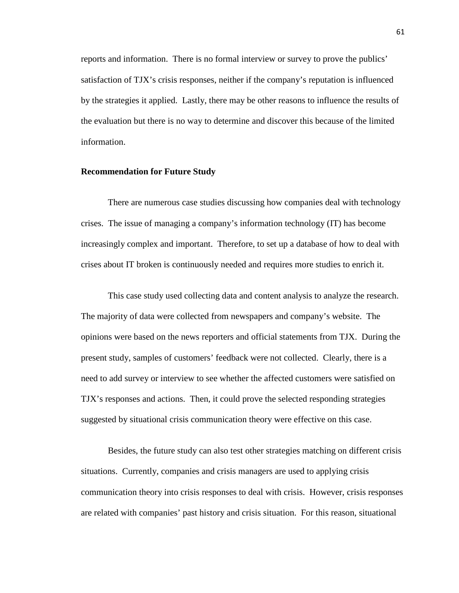reports and information. There is no formal interview or survey to prove the publics' satisfaction of TJX's crisis responses, neither if the company's reputation is influenced by the strategies it applied. Lastly, there may be other reasons to influence the results of the evaluation but there is no way to determine and discover this because of the limited information.

### **Recommendation for Future Study**

There are numerous case studies discussing how companies deal with technology crises. The issue of managing a company's information technology (IT) has become increasingly complex and important. Therefore, to set up a database of how to deal with crises about IT broken is continuously needed and requires more studies to enrich it.

This case study used collecting data and content analysis to analyze the research. The majority of data were collected from newspapers and company's website. The opinions were based on the news reporters and official statements from TJX. During the present study, samples of customers' feedback were not collected. Clearly, there is a need to add survey or interview to see whether the affected customers were satisfied on TJX's responses and actions. Then, it could prove the selected responding strategies suggested by situational crisis communication theory were effective on this case.

Besides, the future study can also test other strategies matching on different crisis situations. Currently, companies and crisis managers are used to applying crisis communication theory into crisis responses to deal with crisis. However, crisis responses are related with companies' past history and crisis situation. For this reason, situational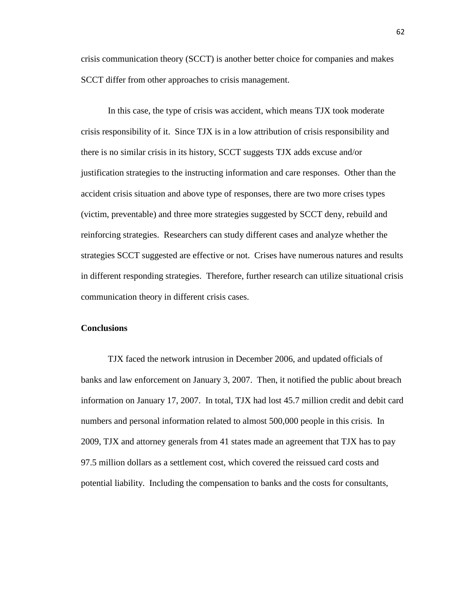crisis communication theory (SCCT) is another better choice for companies and makes SCCT differ from other approaches to crisis management.

In this case, the type of crisis was accident, which means TJX took moderate crisis responsibility of it. Since TJX is in a low attribution of crisis responsibility and there is no similar crisis in its history, SCCT suggests TJX adds excuse and/or justification strategies to the instructing information and care responses. Other than the accident crisis situation and above type of responses, there are two more crises types (victim, preventable) and three more strategies suggested by SCCT deny, rebuild and reinforcing strategies. Researchers can study different cases and analyze whether the strategies SCCT suggested are effective or not. Crises have numerous natures and results in different responding strategies. Therefore, further research can utilize situational crisis communication theory in different crisis cases.

### **Conclusions**

TJX faced the network intrusion in December 2006, and updated officials of banks and law enforcement on January 3, 2007. Then, it notified the public about breach information on January 17, 2007. In total, TJX had lost 45.7 million credit and debit card numbers and personal information related to almost 500,000 people in this crisis. In 2009, TJX and attorney generals from 41 states made an agreement that TJX has to pay 97.5 million dollars as a settlement cost, which covered the reissued card costs and potential liability. Including the compensation to banks and the costs for consultants,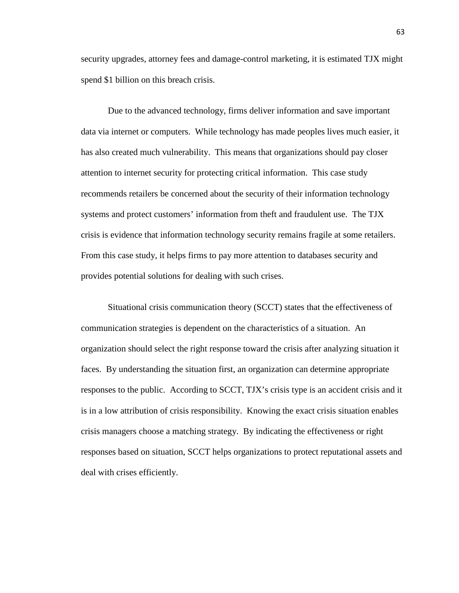security upgrades, attorney fees and damage-control marketing, it is estimated TJX might spend \$1 billion on this breach crisis.

Due to the advanced technology, firms deliver information and save important data via internet or computers. While technology has made peoples lives much easier, it has also created much vulnerability. This means that organizations should pay closer attention to internet security for protecting critical information. This case study recommends retailers be concerned about the security of their information technology systems and protect customers' information from theft and fraudulent use. The TJX crisis is evidence that information technology security remains fragile at some retailers. From this case study, it helps firms to pay more attention to databases security and provides potential solutions for dealing with such crises.

Situational crisis communication theory (SCCT) states that the effectiveness of communication strategies is dependent on the characteristics of a situation. An organization should select the right response toward the crisis after analyzing situation it faces. By understanding the situation first, an organization can determine appropriate responses to the public. According to SCCT, TJX's crisis type is an accident crisis and it is in a low attribution of crisis responsibility. Knowing the exact crisis situation enables crisis managers choose a matching strategy. By indicating the effectiveness or right responses based on situation, SCCT helps organizations to protect reputational assets and deal with crises efficiently.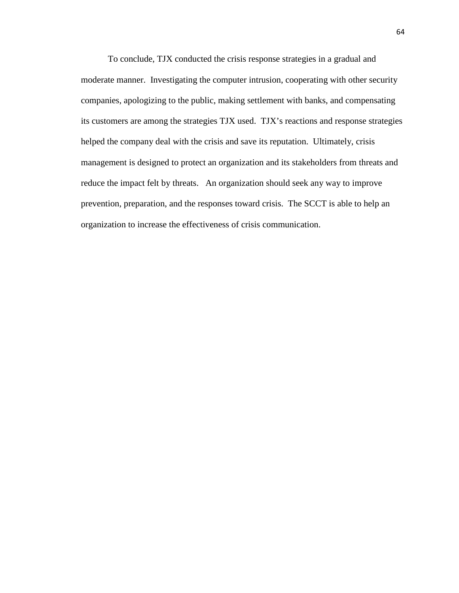To conclude, TJX conducted the crisis response strategies in a gradual and moderate manner. Investigating the computer intrusion, cooperating with other security companies, apologizing to the public, making settlement with banks, and compensating its customers are among the strategies TJX used. TJX's reactions and response strategies helped the company deal with the crisis and save its reputation. Ultimately, crisis management is designed to protect an organization and its stakeholders from threats and reduce the impact felt by threats. An organization should seek any way to improve prevention, preparation, and the responses toward crisis. The SCCT is able to help an organization to increase the effectiveness of crisis communication.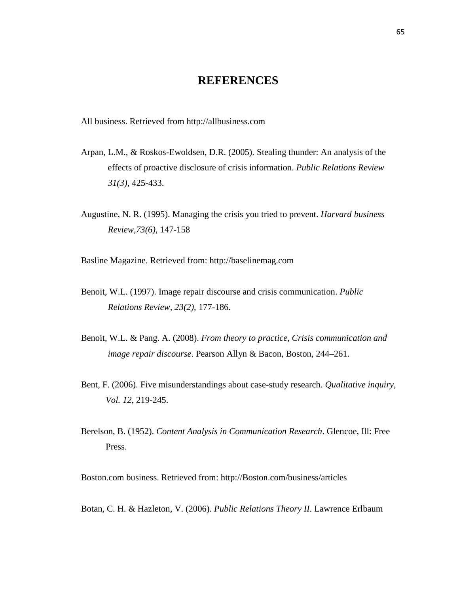# **REFERENCES**

All business. Retrieved from [http://allbusiness.com](http://allbusiness.com/)

- Arpan, L.M., & Roskos-Ewoldsen, D.R. (2005). Stealing thunder: An analysis of the effects of proactive disclosure of crisis information. *Public Relations Review 31(3)*, 425-433.
- Augustine, N. R. (1995). Managing the crisis you tried to prevent. *Harvard business Review,73(6)*, 147-158

Basline Magazine. Retrieved from: [http://baselinemag.com](http://baselinemag.com/)

- Benoit, W.L. (1997). Image repair discourse and crisis communication. *Public Relations Review, 23(2)*, 177-186.
- [Benoit, W.L. & Pang. A. \(2008\)](http://www.sciencedirect.com/science?_ob=ArticleURL&_udi=B6W5W-4WH6KGP-1&_user=5172862&_coverDate=09%2F30%2F2009&_rdoc=1&_fmt=high&_orig=search&_sort=d&_docanchor=&view=c&_searchStrId=1395950946&_rerunOrigin=google&_acct=C000066447&_version=1&_urlVersion=0&_userid=5172862&md5=366a17576bf735161422e32be69a8fb5#bbib9). *From theory to practice*, *Crisis communication and image repair discourse*. Pearson Allyn & Bacon, Boston, 244–261.
- Bent, F. (2006). Five misunderstandings about case-study research. *Qualitative inquiry, Vol. 12*, 219-245.
- Berelson, B. (1952). *Content Analysis in Communication Research*. Glencoe, Ill: Free Press.

Boston.com business. Retrieved from: [http://Boston.com/business/articles](http://boston.com/business/articles)

Botan, C. H. & Hazleton, V. (2006). *Public Relations Theory II*. Lawrence Erlbaum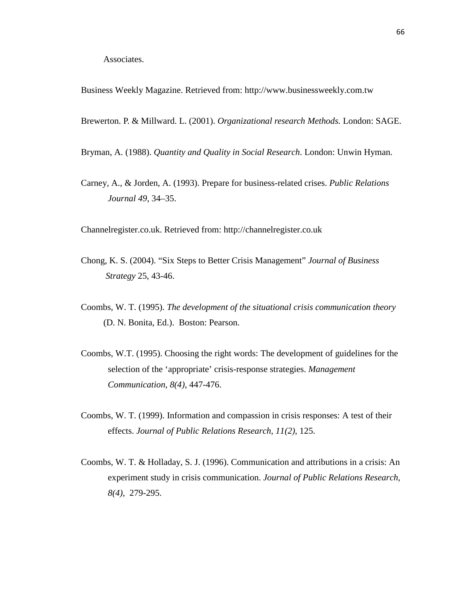Business Weekly Magazine. Retrieved from: [http://www.businessweekly.com.tw](http://www.businessweekly.com.tw/)

Brewerton. P. & Millward. L. (2001). *Organizational research Methods.* London: SAGE.

Bryman, A. (1988). *Quantity and Quality in Social Research*. London: Unwin Hyman.

Carney, A., & Jorden, A. (1993). Prepare for business-related crises. *Public Relations Journal 49*, 34–35.

Channelregister.co.uk. Retrieved from: [http://channelregister.co.uk](http://channelregister.co.uk/)

- Chong, K. S. (2004). "Six Steps to Better Crisis Management" *Journal of Business Strategy* 25, 43-46.
- Coombs, W. T. (1995). *The development of the situational crisis communication theory* (D. N. Bonita, Ed.). Boston: Pearson.
- Coombs, W.T. (1995). Choosing the right words: The development of guidelines for the selection of the 'appropriate' crisis-response strategies. *Management Communication, 8(4)*, 447-476.
- Coombs, W. T. (1999). Information and compassion in crisis responses: A test of their effects. *Journal of Public Relations Research, 11(2)*, 125.
- Coombs, W. T. & Holladay, S. J. (1996). Communication and attributions in a crisis: An experiment study in crisis communication. *Journal of Public Relations Research, 8(4)*, 279-295.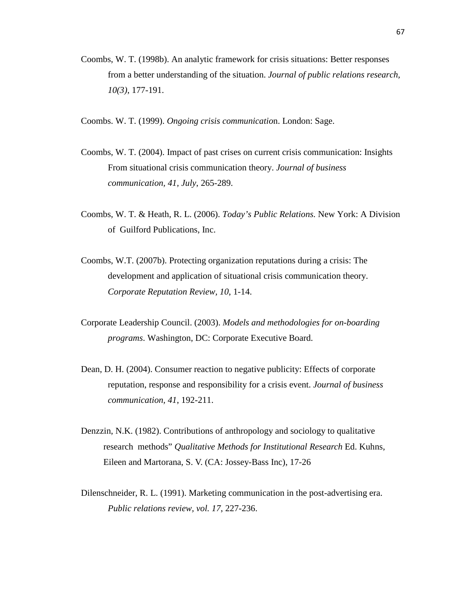- Coombs, W. T. (1998b). An analytic framework for crisis situations: Better responses from a better understanding of the situation. *Journal of public relations research, 10(3)*, 177-191.
- Coombs. W. T. (1999). *Ongoing crisis communicatio*n. London: Sage.
- Coombs, W. T. (2004). Impact of past crises on current crisis communication: Insights From situational crisis communication theory. *Journal of business communication, 41, July*, 265-289.
- Coombs, W. T. & Heath, R. L. (2006). *Today's Public Relations.* New York: A Division of Guilford Publications, Inc.
- Coombs, W.T. (2007b). Protecting organization reputations during a crisis: The development and application of situational crisis communication theory. *Corporate Reputation Review, 10*, 1-14.
- Corporate Leadership Council. (2003). *Models and methodologies for on-boarding programs*. Washington, DC: Corporate Executive Board.
- Dean, D. H. (2004). Consumer reaction to negative publicity: Effects of corporate reputation, response and responsibility for a crisis event. *Journal of business communication, 41*, 192-211.
- Denzzin, N.K. (1982). Contributions of anthropology and sociology to qualitative research methods" *Qualitative Methods for Institutional Research* Ed. Kuhns, Eileen and Martorana, S. V. (CA: Jossey-Bass Inc), 17-26
- Dilenschneider, R. L. (1991). Marketing communication in the post-advertising era. *Public relations review, vol. 17*, 227-236.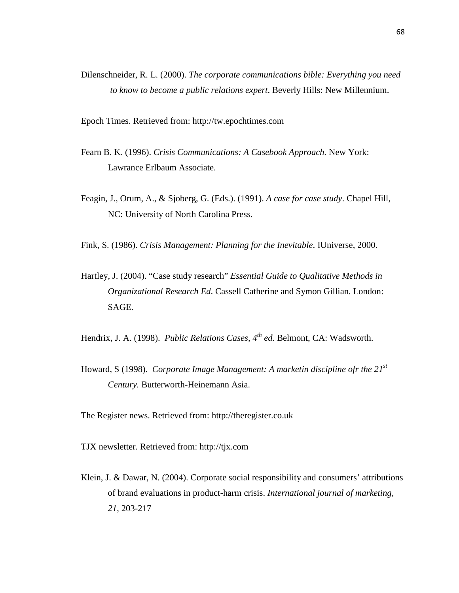Dilenschneider, R. L. (2000). *The corporate communications bible: Everything you need to know to become a public relations expert*. Beverly Hills: New Millennium.

Epoch Times. Retrieved from: [http://tw.epochtimes.com](http://tw.epochtimes.com/)

- Fearn B. K. (1996). *Crisis Communications: A Casebook Approach.* New York: Lawrance Erlbaum Associate.
- Feagin, J., Orum, A., & Sjoberg, G. (Eds.). (1991). *A case for case study*. Chapel Hill, NC: University of North Carolina Press.
- Fink, S. (1986). *Crisis Management: Planning for the Inevitable*. IUniverse, 2000.
- Hartley, J. (2004). "Case study research" *Essential Guide to Qualitative Methods in Organizational Research Ed*. Cassell Catherine and Symon Gillian. London: SAGE.

Hendrix, J. A. (1998). *Public Relations Cases, 4<sup>th</sup> ed.* Belmont, CA: Wadsworth.

Howard, S (1998). *Corporate Image Management: A marketin discipline ofr the 21st Century.* Butterworth-Heinemann Asia.

The Register news. Retrieved from: [http://theregister.co.uk](http://theregister.co.uk/)

TJX newsletter. Retrieved from: [http://tjx.com](http://tjx.com/)

Klein, J. & Dawar, N. (2004). Corporate social responsibility and consumers' attributions of brand evaluations in product-harm crisis. *International journal of marketing, 21*, 203-217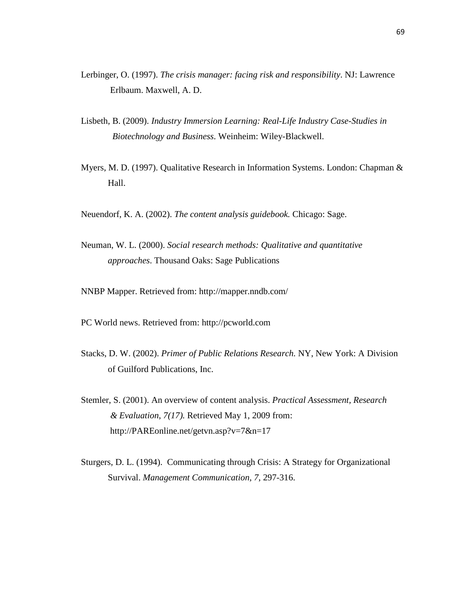- Lerbinger, O. (1997). *The crisis manager: facing risk and responsibility*. NJ: Lawrence Erlbaum. Maxwell, A. D.
- Lisbeth, B. (2009). *Industry Immersion Learning: Real-Life Industry Case-Studies in Biotechnology and Business*. Weinheim: Wiley-Blackwell.
- Myers, M. D. (1997). Qualitative Research in Information Systems. London: Chapman & Hall.
- Neuendorf, K. A. (2002). *The content analysis guidebook.* Chicago: Sage.
- Neuman, W. L. (2000). *Social research methods: Qualitative and quantitative approaches*. Thousand Oaks: Sage Publications
- NNBP Mapper. Retrieved from: http://mapper.nndb.com/
- PC World news. Retrieved from: [http://pcworld.com](http://pcworld.com/)
- Stacks, D. W. (2002). *Primer of Public Relations Research.* NY, New York: A Division of Guilford Publications, Inc.
- Stemler, S. (2001). An overview of content analysis. *Practical Assessment, Research & Evaluation*, *7(17).* Retrieved May 1, 2009 from: [http://PAREonline.net/getvn.asp?v=7&n=17](http://pareonline.net/getvn.asp?v=7&n=17)
- Sturgers, D. L. (1994). Communicating through Crisis: A Strategy for Organizational Survival. *Management Communication, 7*, 297-316.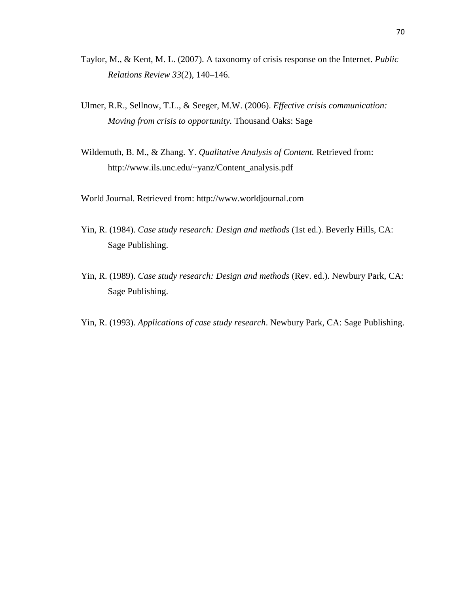- Taylor, M., & Kent, M. L. (2007). A taxonomy [of crisis response on the Internet.](http://faculty-staff.ou.edu/K/Michael.L.Kent-1/PDFs/Taylor_Kent_Crisis_Taxonomy.pdf) *Public Relations Review 33*(2), 140–146.
- Ulmer, R.R., Sellnow, T.L., & Seeger, M.W. (2006). *Effective crisis communication: Moving from crisis to opportunity.* Thousand Oaks: Sage
- Wildemuth, B. M., & Zhang. Y. *Qualitative Analysis of Content.* Retrieved from: http://www.ils.unc.edu/~yanz/Content\_analysis.pdf
- World Journal. Retrieved from: [http://www.worldjournal.com](http://www.worldjournal.com/)
- Yin, R. (1984). *Case study research: Design and methods* (1st ed.). Beverly Hills, CA: Sage Publishing.
- Yin, R. (1989). *Case study research: Design and methods* (Rev. ed.). Newbury Park, CA: Sage Publishing.
- Yin, R. (1993). *Applications of case study research*. Newbury Park, CA: Sage Publishing.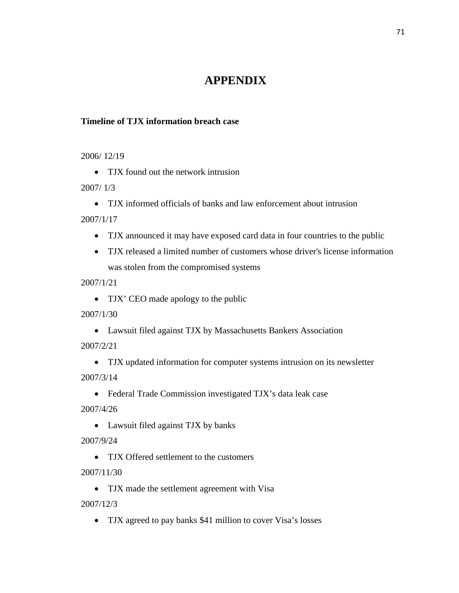## **APPENDIX**

## **Timeline of TJX information breach case**

2006/ 12/19

• TJX found out the network intrusion

2007/ 1/3

• TJX informed officials of banks and law enforcement about intrusion

2007/1/17

- TJX announced it may have exposed card data in four countries to the public
- TJX released a limited number of customers whose driver's license information was stolen from the compromised systems

2007/1/21

• TJX' CEO made apology to the public

2007/1/30

- Lawsuit filed against TJX by Massachusetts Bankers Association 2007/2/21
- TJX updated information for computer systems intrusion on its newsletter 2007/3/14
- Federal Trade Commission investigated TJX's data leak case 2007/4/26
	- Lawsuit filed against TJX by banks

2007/9/24

• TJX Offered settlement to the customers

2007/11/30

• TJX made the settlement agreement with Visa

2007/12/3

• TJX agreed to pay banks \$41 million to cover Visa's losses